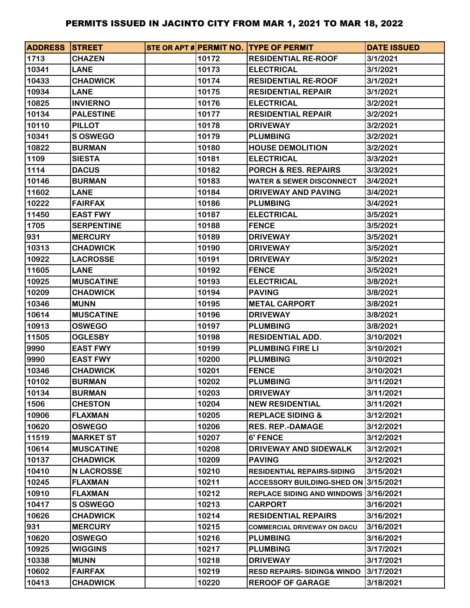| <b>ADDRESS STREET</b> |                   |       | STE OR APT # PERMIT NO. ITYPE OF PERMIT | <b>DATE ISSUED</b> |
|-----------------------|-------------------|-------|-----------------------------------------|--------------------|
| 1713                  | <b>CHAZEN</b>     | 10172 | <b>RESIDENTIAL RE-ROOF</b>              | 3/1/2021           |
| 10341                 | <b>LANE</b>       | 10173 | <b>ELECTRICAL</b>                       | 3/1/2021           |
| 10433                 | <b>CHADWICK</b>   | 10174 | <b>RESIDENTIAL RE-ROOF</b>              | 3/1/2021           |
| 10934                 | <b>LANE</b>       | 10175 | <b>RESIDENTIAL REPAIR</b>               | 3/1/2021           |
| 10825                 | <b>INVIERNO</b>   | 10176 | <b>ELECTRICAL</b>                       | 3/2/2021           |
| 10134                 | <b>PALESTINE</b>  | 10177 | <b>RESIDENTIAL REPAIR</b>               | 3/2/2021           |
| 10110                 | <b>PILLOT</b>     | 10178 | <b>DRIVEWAY</b>                         | 3/2/2021           |
| 10341                 | <b>S OSWEGO</b>   | 10179 | <b>PLUMBING</b>                         | 3/2/2021           |
| 10822                 | <b>BURMAN</b>     | 10180 | <b>HOUSE DEMOLITION</b>                 | 3/2/2021           |
| 1109                  | <b>SIESTA</b>     | 10181 | <b>ELECTRICAL</b>                       | 3/3/2021           |
| 1114                  | <b>DACUS</b>      | 10182 | <b>PORCH &amp; RES. REPAIRS</b>         | 3/3/2021           |
| 10146                 | <b>BURMAN</b>     | 10183 | <b>WATER &amp; SEWER DISCONNECT</b>     | 3/4/2021           |
| 11602                 | <b>LANE</b>       | 10184 | DRIVEWAY AND PAVING                     | 3/4/2021           |
| 10222                 | <b>FAIRFAX</b>    | 10186 | <b>PLUMBING</b>                         | 3/4/2021           |
| 11450                 | <b>EAST FWY</b>   | 10187 | <b>ELECTRICAL</b>                       | 3/5/2021           |
| 1705                  | <b>SERPENTINE</b> | 10188 | <b>FENCE</b>                            | 3/5/2021           |
| 931                   | <b>MERCURY</b>    | 10189 | <b>DRIVEWAY</b>                         | 3/5/2021           |
| 10313                 | <b>CHADWICK</b>   | 10190 | <b>DRIVEWAY</b>                         | 3/5/2021           |
| 10922                 | <b>LACROSSE</b>   | 10191 | <b>DRIVEWAY</b>                         | 3/5/2021           |
| 11605                 | <b>LANE</b>       | 10192 | <b>FENCE</b>                            | 3/5/2021           |
| 10925                 | <b>MUSCATINE</b>  | 10193 | <b>ELECTRICAL</b>                       | 3/8/2021           |
| 10209                 | <b>CHADWICK</b>   | 10194 | <b>PAVING</b>                           | 3/8/2021           |
| 10346                 | <b>MUNN</b>       | 10195 | <b>METAL CARPORT</b>                    | 3/8/2021           |
| 10614                 | <b>MUSCATINE</b>  | 10196 | <b>DRIVEWAY</b>                         | 3/8/2021           |
| 10913                 | <b>OSWEGO</b>     | 10197 | <b>PLUMBING</b>                         | 3/8/2021           |
| 11505                 | <b>OGLESBY</b>    | 10198 | <b>RESIDENTIAL ADD.</b>                 | 3/10/2021          |
| 9990                  | <b>EAST FWY</b>   | 10199 | <b>PLUMBING FIRE LI</b>                 | 3/10/2021          |
| 9990                  | <b>EAST FWY</b>   | 10200 | <b>PLUMBING</b>                         | 3/10/2021          |
| 10346                 | <b>CHADWICK</b>   | 10201 | <b>FENCE</b>                            | 3/10/2021          |
| 10102                 | <b>BURMAN</b>     | 10202 | <b>PLUMBING</b>                         | 3/11/2021          |
| 10134                 | <b>BURMAN</b>     | 10203 | <b>DRIVEWAY</b>                         | 3/11/2021          |
| 1506                  | <b>CHESTON</b>    | 10204 | <b>NEW RESIDENTIAL</b>                  | 3/11/2021          |
| 10906                 | <b>FLAXMAN</b>    | 10205 | <b>REPLACE SIDING &amp;</b>             | 3/12/2021          |
| 10620                 | <b>OSWEGO</b>     | 10206 | <b>RES. REP.-DAMAGE</b>                 | 3/12/2021          |
| 11519                 | <b>MARKET ST</b>  | 10207 | <b>6' FENCE</b>                         | 3/12/2021          |
| 10614                 | <b>MUSCATINE</b>  | 10208 | DRIVEWAY AND SIDEWALK                   | 3/12/2021          |
| 10137                 | <b>CHADWICK</b>   | 10209 | <b>PAVING</b>                           | 3/12/2021          |
| 10410                 | <b>N LACROSSE</b> | 10210 | <b>RESIDENTIAL REPAIRS-SIDING</b>       | 3/15/2021          |
| 10245                 | <b>FLAXMAN</b>    | 10211 | ACCESSORY BUILDING-SHED ON 3/15/2021    |                    |
| 10910                 | <b>FLAXMAN</b>    | 10212 | REPLACE SIDING AND WINDOWS 3/16/2021    |                    |
| 10417                 | S OSWEGO          | 10213 | <b>CARPORT</b>                          | 3/16/2021          |
| 10626                 | <b>CHADWICK</b>   | 10214 | <b>RESIDENTIAL REPAIRS</b>              | 3/16/2021          |
| 931                   | <b>MERCURY</b>    | 10215 | <b>COMMERCIAL DRIVEWAY ON DACU</b>      | 3/16/2021          |
| 10620                 | <b>OSWEGO</b>     | 10216 | <b>PLUMBING</b>                         | 3/16/2021          |
| 10925                 | <b>WIGGINS</b>    | 10217 | <b>PLUMBING</b>                         | 3/17/2021          |
| 10338                 | <b>MUNN</b>       | 10218 | <b>DRIVEWAY</b>                         | 3/17/2021          |
| 10602                 | <b>FAIRFAX</b>    | 10219 | <b>RESD REPAIRS-SIDING&amp; WINDO</b>   | 3/17/2021          |
| 10413                 | <b>CHADWICK</b>   | 10220 | <b>REROOF OF GARAGE</b>                 | 3/18/2021          |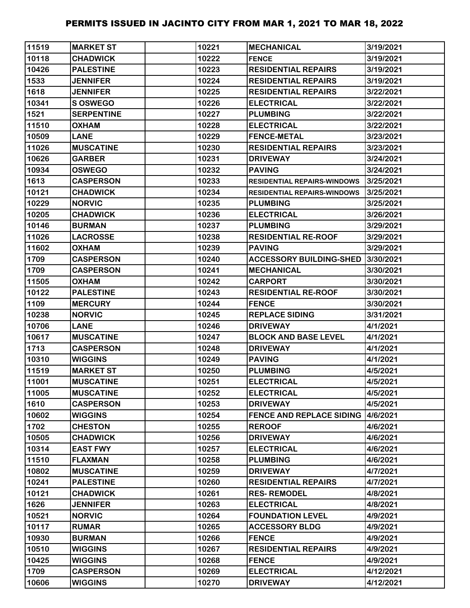| 11519 | <b>MARKET ST</b>  | 10221 | <b>MECHANICAL</b>                  | 3/19/2021 |
|-------|-------------------|-------|------------------------------------|-----------|
| 10118 | <b>CHADWICK</b>   | 10222 | <b>FENCE</b>                       | 3/19/2021 |
| 10426 | <b>PALESTINE</b>  | 10223 | <b>RESIDENTIAL REPAIRS</b>         | 3/19/2021 |
| 1533  | <b>JENNIFER</b>   | 10224 | <b>RESIDENTIAL REPAIRS</b>         | 3/19/2021 |
| 1618  | <b>JENNIFER</b>   | 10225 | <b>RESIDENTIAL REPAIRS</b>         | 3/22/2021 |
| 10341 | S OSWEGO          | 10226 | <b>ELECTRICAL</b>                  | 3/22/2021 |
| 1521  | <b>SERPENTINE</b> | 10227 | <b>PLUMBING</b>                    | 3/22/2021 |
| 11510 | <b>OXHAM</b>      | 10228 | <b>ELECTRICAL</b>                  | 3/22/2021 |
| 10509 | <b>LANE</b>       | 10229 | <b>FENCE-METAL</b>                 | 3/23/2021 |
| 11026 | <b>MUSCATINE</b>  | 10230 | <b>RESIDENTIAL REPAIRS</b>         | 3/23/2021 |
| 10626 | <b>GARBER</b>     | 10231 | <b>DRIVEWAY</b>                    | 3/24/2021 |
| 10934 | <b>OSWEGO</b>     | 10232 | <b>PAVING</b>                      | 3/24/2021 |
| 1613  | <b>CASPERSON</b>  | 10233 | <b>RESIDENTIAL REPAIRS-WINDOWS</b> | 3/25/2021 |
| 10121 | <b>CHADWICK</b>   | 10234 | <b>RESIDENTIAL REPAIRS-WINDOWS</b> | 3/25/2021 |
| 10229 | <b>NORVIC</b>     | 10235 | <b>PLUMBING</b>                    | 3/25/2021 |
| 10205 | <b>CHADWICK</b>   | 10236 | <b>ELECTRICAL</b>                  | 3/26/2021 |
| 10146 | <b>BURMAN</b>     | 10237 | <b>PLUMBING</b>                    | 3/29/2021 |
| 11026 | <b>LACROSSE</b>   | 10238 | <b>RESIDENTIAL RE-ROOF</b>         | 3/29/2021 |
| 11602 | <b>OXHAM</b>      | 10239 | <b>PAVING</b>                      | 3/29/2021 |
| 1709  | <b>CASPERSON</b>  | 10240 | <b>ACCESSORY BUILDING-SHED</b>     | 3/30/2021 |
| 1709  | <b>CASPERSON</b>  | 10241 | <b>MECHANICAL</b>                  | 3/30/2021 |
| 11505 | <b>OXHAM</b>      | 10242 | <b>CARPORT</b>                     | 3/30/2021 |
| 10122 | <b>PALESTINE</b>  | 10243 | <b>RESIDENTIAL RE-ROOF</b>         | 3/30/2021 |
| 1109  | <b>MERCURY</b>    | 10244 | <b>FENCE</b>                       | 3/30/2021 |
| 10238 | <b>NORVIC</b>     | 10245 | <b>REPLACE SIDING</b>              | 3/31/2021 |
| 10706 | <b>LANE</b>       | 10246 | <b>DRIVEWAY</b>                    | 4/1/2021  |
| 10617 | <b>MUSCATINE</b>  | 10247 | <b>BLOCK AND BASE LEVEL</b>        | 4/1/2021  |
| 1713  | <b>CASPERSON</b>  | 10248 | <b>DRIVEWAY</b>                    | 4/1/2021  |
| 10310 | <b>WIGGINS</b>    | 10249 | <b>PAVING</b>                      | 4/1/2021  |
| 11519 | <b>MARKET ST</b>  | 10250 | <b>PLUMBING</b>                    | 4/5/2021  |
| 11001 | <b>MUSCATINE</b>  | 10251 | <b>ELECTRICAL</b>                  | 4/5/2021  |
| 11005 | <b>MUSCATINE</b>  | 10252 | <b>ELECTRICAL</b>                  | 4/5/2021  |
| 1610  | <b>CASPERSON</b>  | 10253 | <b>DRIVEWAY</b>                    | 4/5/2021  |
| 10602 | <b>WIGGINS</b>    | 10254 | <b>FENCE AND REPLACE SIDING</b>    | 4/6/2021  |
| 1702  | <b>CHESTON</b>    | 10255 | <b>REROOF</b>                      | 4/6/2021  |
| 10505 | <b>CHADWICK</b>   | 10256 | <b>DRIVEWAY</b>                    | 4/6/2021  |
| 10314 | <b>EAST FWY</b>   | 10257 | <b>ELECTRICAL</b>                  | 4/6/2021  |
| 11510 | <b>FLAXMAN</b>    | 10258 | <b>PLUMBING</b>                    | 4/6/2021  |
| 10802 | <b>MUSCATINE</b>  | 10259 | <b>DRIVEWAY</b>                    | 4/7/2021  |
| 10241 | <b>PALESTINE</b>  | 10260 | <b>RESIDENTIAL REPAIRS</b>         | 4/7/2021  |
| 10121 | <b>CHADWICK</b>   | 10261 | <b>RES-REMODEL</b>                 | 4/8/2021  |
| 1626  | <b>JENNIFER</b>   | 10263 | <b>ELECTRICAL</b>                  | 4/8/2021  |
| 10521 | <b>NORVIC</b>     | 10264 | <b>FOUNDATION LEVEL</b>            | 4/9/2021  |
| 10117 | <b>RUMAR</b>      | 10265 | <b>ACCESSORY BLDG</b>              | 4/9/2021  |
| 10930 | <b>BURMAN</b>     | 10266 | <b>FENCE</b>                       | 4/9/2021  |
| 10510 | <b>WIGGINS</b>    | 10267 | <b>RESIDENTIAL REPAIRS</b>         | 4/9/2021  |
| 10425 | <b>WIGGINS</b>    | 10268 | <b>FENCE</b>                       | 4/9/2021  |
| 1709  | <b>CASPERSON</b>  | 10269 | <b>ELECTRICAL</b>                  | 4/12/2021 |
| 10606 | <b>WIGGINS</b>    | 10270 | <b>DRIVEWAY</b>                    | 4/12/2021 |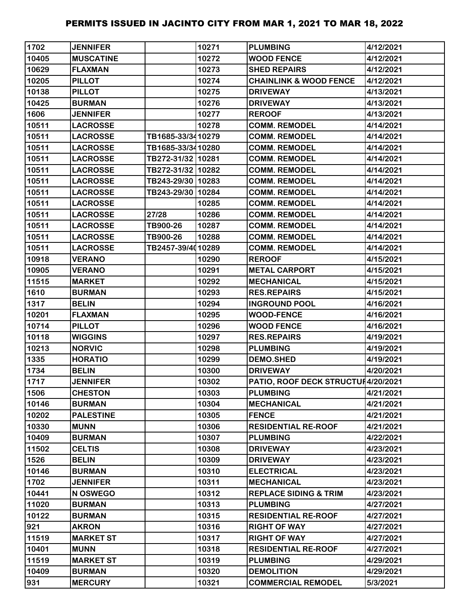| 1702  | <b>JENNIFER</b>  |                   | 10271 | <b>PLUMBING</b>                    | 4/12/2021 |
|-------|------------------|-------------------|-------|------------------------------------|-----------|
| 10405 | <b>MUSCATINE</b> |                   | 10272 | <b>WOOD FENCE</b>                  | 4/12/2021 |
| 10629 | <b>FLAXMAN</b>   |                   | 10273 | <b>SHED REPAIRS</b>                | 4/12/2021 |
| 10205 | <b>PILLOT</b>    |                   | 10274 | <b>CHAINLINK &amp; WOOD FENCE</b>  | 4/12/2021 |
| 10138 | <b>PILLOT</b>    |                   | 10275 | <b>DRIVEWAY</b>                    | 4/13/2021 |
| 10425 | <b>BURMAN</b>    |                   | 10276 | <b>DRIVEWAY</b>                    | 4/13/2021 |
| 1606  | <b>JENNIFER</b>  |                   | 10277 | <b>REROOF</b>                      | 4/13/2021 |
| 10511 | <b>LACROSSE</b>  |                   | 10278 | <b>COMM. REMODEL</b>               | 4/14/2021 |
| 10511 | <b>LACROSSE</b>  | TB1685-33/3410279 |       | <b>COMM. REMODEL</b>               | 4/14/2021 |
| 10511 | <b>LACROSSE</b>  | TB1685-33/3410280 |       | <b>COMM. REMODEL</b>               | 4/14/2021 |
| 10511 | <b>LACROSSE</b>  | TB272-31/32 10281 |       | <b>COMM. REMODEL</b>               | 4/14/2021 |
| 10511 | <b>LACROSSE</b>  | TB272-31/32 10282 |       | <b>COMM. REMODEL</b>               | 4/14/2021 |
| 10511 | <b>LACROSSE</b>  | TB243-29/30 10283 |       | <b>COMM. REMODEL</b>               | 4/14/2021 |
| 10511 | <b>LACROSSE</b>  | TB243-29/30 10284 |       | <b>COMM. REMODEL</b>               | 4/14/2021 |
| 10511 | <b>LACROSSE</b>  |                   | 10285 | <b>COMM. REMODEL</b>               | 4/14/2021 |
| 10511 | <b>LACROSSE</b>  | 27/28             | 10286 | <b>COMM. REMODEL</b>               | 4/14/2021 |
| 10511 | <b>LACROSSE</b>  | TB900-26          | 10287 | <b>COMM. REMODEL</b>               | 4/14/2021 |
| 10511 | <b>LACROSSE</b>  | TB900-26          | 10288 | <b>COMM. REMODEL</b>               | 4/14/2021 |
| 10511 | <b>LACROSSE</b>  | TB2457-39/4010289 |       | <b>COMM. REMODEL</b>               | 4/14/2021 |
| 10918 | <b>VERANO</b>    |                   | 10290 | <b>REROOF</b>                      | 4/15/2021 |
| 10905 | <b>VERANO</b>    |                   | 10291 | <b>METAL CARPORT</b>               | 4/15/2021 |
| 11515 | <b>MARKET</b>    |                   | 10292 | <b>MECHANICAL</b>                  | 4/15/2021 |
| 1610  | <b>BURMAN</b>    |                   | 10293 | <b>RES.REPAIRS</b>                 | 4/15/2021 |
| 1317  | <b>BELIN</b>     |                   | 10294 | <b>INGROUND POOL</b>               | 4/16/2021 |
| 10201 | <b>FLAXMAN</b>   |                   | 10295 | <b>WOOD-FENCE</b>                  | 4/16/2021 |
| 10714 | <b>PILLOT</b>    |                   | 10296 | <b>WOOD FENCE</b>                  | 4/16/2021 |
| 10118 | <b>WIGGINS</b>   |                   | 10297 | <b>RES.REPAIRS</b>                 | 4/19/2021 |
| 10213 | <b>NORVIC</b>    |                   | 10298 | <b>PLUMBING</b>                    | 4/19/2021 |
| 1335  | <b>HORATIO</b>   |                   | 10299 | <b>DEMO.SHED</b>                   | 4/19/2021 |
| 1734  | <b>BELIN</b>     |                   | 10300 | <b>DRIVEWAY</b>                    | 4/20/2021 |
| 1717  | <b>JENNIFER</b>  |                   | 10302 | PATIO, ROOF DECK STRUCTUI4/20/2021 |           |
| 1506  | <b>CHESTON</b>   |                   | 10303 | <b>PLUMBING</b>                    | 4/21/2021 |
| 10146 | <b>BURMAN</b>    |                   | 10304 | <b>MECHANICAL</b>                  | 4/21/2021 |
| 10202 | <b>PALESTINE</b> |                   | 10305 | <b>FENCE</b>                       | 4/21/2021 |
| 10330 | <b>MUNN</b>      |                   | 10306 | <b>RESIDENTIAL RE-ROOF</b>         | 4/21/2021 |
| 10409 | <b>BURMAN</b>    |                   | 10307 | <b>PLUMBING</b>                    | 4/22/2021 |
| 11502 | <b>CELTIS</b>    |                   | 10308 | <b>DRIVEWAY</b>                    | 4/23/2021 |
| 1526  | <b>BELIN</b>     |                   | 10309 | <b>DRIVEWAY</b>                    | 4/23/2021 |
| 10146 | <b>BURMAN</b>    |                   | 10310 | <b>ELECTRICAL</b>                  | 4/23/2021 |
| 1702  | <b>JENNIFER</b>  |                   | 10311 | <b>MECHANICAL</b>                  | 4/23/2021 |
| 10441 | N OSWEGO         |                   | 10312 | <b>REPLACE SIDING &amp; TRIM</b>   | 4/23/2021 |
| 11020 | <b>BURMAN</b>    |                   | 10313 | <b>PLUMBING</b>                    | 4/27/2021 |
| 10122 | <b>BURMAN</b>    |                   | 10315 | <b>RESIDENTIAL RE-ROOF</b>         | 4/27/2021 |
| 921   | <b>AKRON</b>     |                   | 10316 | <b>RIGHT OF WAY</b>                | 4/27/2021 |
| 11519 | <b>MARKET ST</b> |                   | 10317 | <b>RIGHT OF WAY</b>                | 4/27/2021 |
| 10401 | <b>MUNN</b>      |                   | 10318 | <b>RESIDENTIAL RE-ROOF</b>         | 4/27/2021 |
| 11519 | <b>MARKET ST</b> |                   | 10319 | <b>PLUMBING</b>                    | 4/29/2021 |
| 10409 | <b>BURMAN</b>    |                   | 10320 | <b>DEMOLITION</b>                  | 4/29/2021 |
| 931   | <b>MERCURY</b>   |                   | 10321 | <b>COMMERCIAL REMODEL</b>          | 5/3/2021  |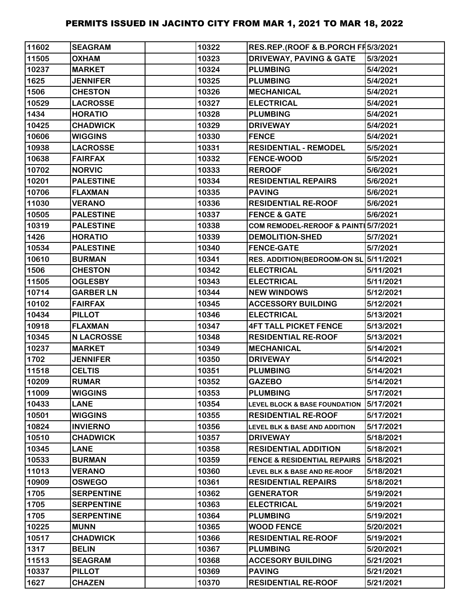| 11602 | <b>SEAGRAM</b>    | 10322 | RES.REP.(ROOF & B.PORCH FF5/3/2021       |           |
|-------|-------------------|-------|------------------------------------------|-----------|
| 11505 | <b>OXHAM</b>      | 10323 | <b>DRIVEWAY, PAVING &amp; GATE</b>       | 5/3/2021  |
| 10237 | <b>MARKET</b>     | 10324 | <b>PLUMBING</b>                          | 5/4/2021  |
| 1625  | <b>JENNIFER</b>   | 10325 | <b>PLUMBING</b>                          | 5/4/2021  |
| 1506  | <b>CHESTON</b>    | 10326 | <b>MECHANICAL</b>                        | 5/4/2021  |
| 10529 | <b>LACROSSE</b>   | 10327 | <b>ELECTRICAL</b>                        | 5/4/2021  |
| 1434  | <b>HORATIO</b>    | 10328 | <b>PLUMBING</b>                          | 5/4/2021  |
| 10425 | <b>CHADWICK</b>   | 10329 | <b>DRIVEWAY</b>                          | 5/4/2021  |
| 10606 | <b>WIGGINS</b>    | 10330 | <b>FENCE</b>                             | 5/4/2021  |
| 10938 | <b>LACROSSE</b>   | 10331 | <b>RESIDENTIAL - REMODEL</b>             | 5/5/2021  |
| 10638 | <b>FAIRFAX</b>    | 10332 | <b>FENCE-WOOD</b>                        | 5/5/2021  |
| 10702 | <b>NORVIC</b>     | 10333 | <b>REROOF</b>                            | 5/6/2021  |
| 10201 | <b>PALESTINE</b>  | 10334 | <b>RESIDENTIAL REPAIRS</b>               | 5/6/2021  |
| 10706 | <b>FLAXMAN</b>    | 10335 | <b>PAVING</b>                            | 5/6/2021  |
| 11030 | <b>VERANO</b>     | 10336 | <b>RESIDENTIAL RE-ROOF</b>               | 5/6/2021  |
| 10505 | <b>PALESTINE</b>  | 10337 | <b>FENCE &amp; GATE</b>                  | 5/6/2021  |
| 10319 | <b>PALESTINE</b>  | 10338 | COM REMODEL-REROOF & PAINT 5/7/2021      |           |
| 1426  | <b>HORATIO</b>    | 10339 | <b>DEMOLITION-SHED</b>                   | 5/7/2021  |
| 10534 | <b>PALESTINE</b>  | 10340 | <b>FENCE-GATE</b>                        | 5/7/2021  |
| 10610 | <b>BURMAN</b>     | 10341 | RES. ADDITION(BEDROOM-ON SL 5/11/2021    |           |
| 1506  | <b>CHESTON</b>    | 10342 | <b>ELECTRICAL</b>                        | 5/11/2021 |
| 11505 | <b>OGLESBY</b>    | 10343 | <b>ELECTRICAL</b>                        | 5/11/2021 |
| 10714 | <b>GARBER LN</b>  | 10344 | <b>NEW WINDOWS</b>                       | 5/12/2021 |
| 10102 | <b>FAIRFAX</b>    | 10345 | <b>ACCESSORY BUILDING</b>                | 5/12/2021 |
| 10434 | <b>PILLOT</b>     | 10346 | <b>ELECTRICAL</b>                        | 5/13/2021 |
| 10918 | <b>FLAXMAN</b>    | 10347 | <b>4FT TALL PICKET FENCE</b>             | 5/13/2021 |
| 10345 | <b>N LACROSSE</b> | 10348 | <b>RESIDENTIAL RE-ROOF</b>               | 5/13/2021 |
| 10237 | <b>MARKET</b>     | 10349 | <b>MECHANICAL</b>                        | 5/14/2021 |
| 1702  | <b>JENNIFER</b>   | 10350 | <b>DRIVEWAY</b>                          | 5/14/2021 |
| 11518 | <b>CELTIS</b>     | 10351 | <b>PLUMBING</b>                          | 5/14/2021 |
| 10209 | <b>RUMAR</b>      | 10352 | <b>GAZEBO</b>                            | 5/14/2021 |
| 11009 | <b>WIGGINS</b>    | 10353 | <b>PLUMBING</b>                          | 5/17/2021 |
| 10433 | <b>LANE</b>       | 10354 | <b>LEVEL BLOCK &amp; BASE FOUNDATION</b> | 5/17/2021 |
| 10501 | <b>WIGGINS</b>    | 10355 | <b>RESIDENTIAL RE-ROOF</b>               | 5/17/2021 |
| 10824 | <b>INVIERNO</b>   | 10356 | <b>LEVEL BLK &amp; BASE AND ADDITION</b> | 5/17/2021 |
| 10510 | <b>CHADWICK</b>   | 10357 | <b>DRIVEWAY</b>                          | 5/18/2021 |
| 10345 | <b>LANE</b>       | 10358 | <b>RESIDENTIAL ADDITION</b>              | 5/18/2021 |
| 10533 | <b>BURMAN</b>     | 10359 | <b>FENCE &amp; RESIDENTIAL REPAIRS</b>   | 5/18/2021 |
| 11013 | <b>VERANO</b>     | 10360 | LEVEL BLK & BASE AND RE-ROOF             | 5/18/2021 |
| 10909 | <b>OSWEGO</b>     | 10361 | <b>RESIDENTIAL REPAIRS</b>               | 5/18/2021 |
| 1705  | <b>SERPENTINE</b> | 10362 | <b>GENERATOR</b>                         | 5/19/2021 |
| 1705  | <b>SERPENTINE</b> | 10363 | <b>ELECTRICAL</b>                        | 5/19/2021 |
| 1705  | <b>SERPENTINE</b> | 10364 | <b>PLUMBING</b>                          | 5/19/2021 |
| 10225 | <b>MUNN</b>       | 10365 | <b>WOOD FENCE</b>                        | 5/20/2021 |
| 10517 | <b>CHADWICK</b>   | 10366 | <b>RESIDENTIAL RE-ROOF</b>               | 5/19/2021 |
| 1317  | <b>BELIN</b>      | 10367 | <b>PLUMBING</b>                          | 5/20/2021 |
| 11513 | <b>SEAGRAM</b>    | 10368 | <b>ACCESORY BUILDING</b>                 | 5/21/2021 |
| 10337 | <b>PILLOT</b>     | 10369 | <b>PAVING</b>                            | 5/21/2021 |
| 1627  | <b>CHAZEN</b>     | 10370 | <b>RESIDENTIAL RE-ROOF</b>               | 5/21/2021 |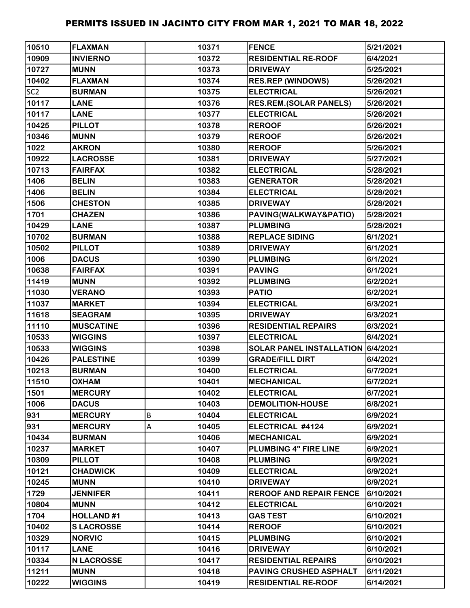| 10510           | <b>FLAXMAN</b>    |   | 10371 | <b>FENCE</b>                      | 5/21/2021 |
|-----------------|-------------------|---|-------|-----------------------------------|-----------|
| 10909           | <b>INVIERNO</b>   |   | 10372 | <b>RESIDENTIAL RE-ROOF</b>        | 6/4/2021  |
| 10727           | <b>MUNN</b>       |   | 10373 | <b>DRIVEWAY</b>                   | 5/25/2021 |
| 10402           | <b>FLAXMAN</b>    |   | 10374 | <b>RES.REP (WINDOWS)</b>          | 5/26/2021 |
| SC <sub>2</sub> | <b>BURMAN</b>     |   | 10375 | <b>ELECTRICAL</b>                 | 5/26/2021 |
| 10117           | <b>LANE</b>       |   | 10376 | <b>RES.REM.(SOLAR PANELS)</b>     | 5/26/2021 |
| 10117           | <b>LANE</b>       |   | 10377 | <b>ELECTRICAL</b>                 | 5/26/2021 |
| 10425           | <b>PILLOT</b>     |   | 10378 | <b>REROOF</b>                     | 5/26/2021 |
| 10346           | <b>MUNN</b>       |   | 10379 | <b>REROOF</b>                     | 5/26/2021 |
| 1022            | <b>AKRON</b>      |   | 10380 | <b>REROOF</b>                     | 5/26/2021 |
| 10922           | <b>LACROSSE</b>   |   | 10381 | <b>DRIVEWAY</b>                   | 5/27/2021 |
| 10713           | <b>FAIRFAX</b>    |   | 10382 | <b>ELECTRICAL</b>                 | 5/28/2021 |
| 1406            | <b>BELIN</b>      |   | 10383 | <b>GENERATOR</b>                  | 5/28/2021 |
| 1406            | <b>BELIN</b>      |   | 10384 | <b>ELECTRICAL</b>                 | 5/28/2021 |
| 1506            | <b>CHESTON</b>    |   | 10385 | <b>DRIVEWAY</b>                   | 5/28/2021 |
| 1701            | <b>CHAZEN</b>     |   | 10386 | PAVING(WALKWAY&PATIO)             | 5/28/2021 |
| 10429           | <b>LANE</b>       |   | 10387 | <b>PLUMBING</b>                   | 5/28/2021 |
| 10702           | <b>BURMAN</b>     |   | 10388 | <b>REPLACE SIDING</b>             | 6/1/2021  |
| 10502           | <b>PILLOT</b>     |   | 10389 | <b>DRIVEWAY</b>                   | 6/1/2021  |
| 1006            | <b>DACUS</b>      |   | 10390 | <b>PLUMBING</b>                   | 6/1/2021  |
| 10638           | <b>FAIRFAX</b>    |   | 10391 | <b>PAVING</b>                     | 6/1/2021  |
| 11419           | <b>MUNN</b>       |   | 10392 | <b>PLUMBING</b>                   | 6/2/2021  |
| 11030           | <b>VERANO</b>     |   | 10393 | <b>PATIO</b>                      | 6/2/2021  |
| 11037           | <b>MARKET</b>     |   | 10394 | <b>ELECTRICAL</b>                 | 6/3/2021  |
| 11618           | <b>SEAGRAM</b>    |   | 10395 | <b>DRIVEWAY</b>                   | 6/3/2021  |
| 11110           | <b>MUSCATINE</b>  |   | 10396 | <b>RESIDENTIAL REPAIRS</b>        | 6/3/2021  |
| 10533           | <b>WIGGINS</b>    |   | 10397 | <b>ELECTRICAL</b>                 | 6/4/2021  |
| 10533           | <b>WIGGINS</b>    |   | 10398 | SOLAR PANEL INSTALLATION 6/4/2021 |           |
| 10426           | <b>PALESTINE</b>  |   | 10399 | <b>GRADE/FILL DIRT</b>            | 6/4/2021  |
| 10213           | <b>BURMAN</b>     |   | 10400 | <b>ELECTRICAL</b>                 | 6/7/2021  |
| 11510           | <b>OXHAM</b>      |   | 10401 | <b>MECHANICAL</b>                 | 6/7/2021  |
| 1501            | <b>MERCURY</b>    |   | 10402 | <b>ELECTRICAL</b>                 | 6/7/2021  |
| 1006            | <b>DACUS</b>      |   | 10403 | <b>DEMOLITION-HOUSE</b>           | 6/8/2021  |
| 931             | <b>MERCURY</b>    | B | 10404 | <b>ELECTRICAL</b>                 | 6/9/2021  |
| 931             | <b>MERCURY</b>    | A | 10405 | ELECTRICAL #4124                  | 6/9/2021  |
| 10434           | <b>BURMAN</b>     |   | 10406 | <b>MECHANICAL</b>                 | 6/9/2021  |
| 10237           | <b>MARKET</b>     |   | 10407 | PLUMBING 4" FIRE LINE             | 6/9/2021  |
| 10309           | <b>PILLOT</b>     |   | 10408 | <b>PLUMBING</b>                   | 6/9/2021  |
| 10121           | <b>CHADWICK</b>   |   | 10409 | <b>ELECTRICAL</b>                 | 6/9/2021  |
| 10245           | <b>MUNN</b>       |   | 10410 | <b>DRIVEWAY</b>                   | 6/9/2021  |
| 1729            | <b>JENNIFER</b>   |   | 10411 | <b>REROOF AND REPAIR FENCE</b>    | 6/10/2021 |
| 10804           | <b>MUNN</b>       |   | 10412 | <b>ELECTRICAL</b>                 | 6/10/2021 |
| 1704            | <b>HOLLAND#1</b>  |   | 10413 | <b>GAS TEST</b>                   | 6/10/2021 |
| 10402           | <b>SLACROSSE</b>  |   | 10414 | <b>REROOF</b>                     | 6/10/2021 |
| 10329           | <b>NORVIC</b>     |   | 10415 | <b>PLUMBING</b>                   | 6/10/2021 |
| 10117           | <b>LANE</b>       |   | 10416 | <b>DRIVEWAY</b>                   | 6/10/2021 |
| 10334           | <b>N LACROSSE</b> |   | 10417 | <b>RESIDENTIAL REPAIRS</b>        | 6/10/2021 |
| 11211           | <b>MUNN</b>       |   | 10418 | PAVING CRUSHED ASPHALT            | 6/11/2021 |
| 10222           | <b>WIGGINS</b>    |   | 10419 | <b>RESIDENTIAL RE-ROOF</b>        | 6/14/2021 |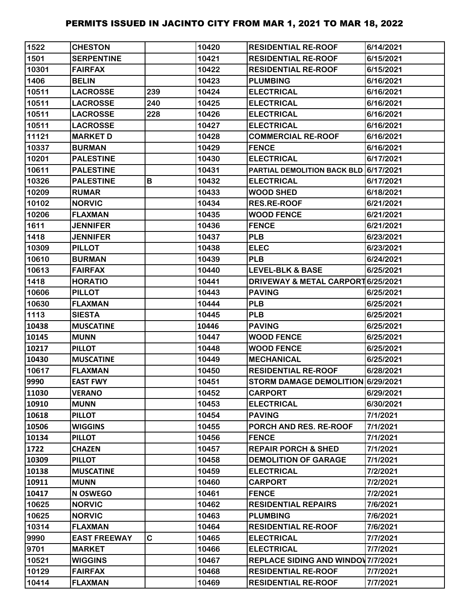| 1522  | <b>CHESTON</b>      |     | 10420 | <b>RESIDENTIAL RE-ROOF</b>                | 6/14/2021 |
|-------|---------------------|-----|-------|-------------------------------------------|-----------|
| 1501  | <b>SERPENTINE</b>   |     | 10421 | <b>RESIDENTIAL RE-ROOF</b>                | 6/15/2021 |
| 10301 | <b>FAIRFAX</b>      |     | 10422 | <b>RESIDENTIAL RE-ROOF</b>                | 6/15/2021 |
| 1406  | <b>BELIN</b>        |     | 10423 | <b>PLUMBING</b>                           | 6/16/2021 |
| 10511 | <b>LACROSSE</b>     | 239 | 10424 | <b>ELECTRICAL</b>                         | 6/16/2021 |
| 10511 | <b>LACROSSE</b>     | 240 | 10425 | <b>ELECTRICAL</b>                         | 6/16/2021 |
| 10511 | <b>LACROSSE</b>     | 228 | 10426 | <b>ELECTRICAL</b>                         | 6/16/2021 |
| 10511 | <b>LACROSSE</b>     |     | 10427 | <b>ELECTRICAL</b>                         | 6/16/2021 |
| 11121 | <b>MARKET D</b>     |     | 10428 | <b>COMMERCIAL RE-ROOF</b>                 | 6/16/2021 |
| 10337 | <b>BURMAN</b>       |     | 10429 | <b>FENCE</b>                              | 6/16/2021 |
| 10201 | <b>PALESTINE</b>    |     | 10430 | <b>ELECTRICAL</b>                         | 6/17/2021 |
| 10611 | <b>PALESTINE</b>    |     | 10431 | PARTIAL DEMOLITION BACK BLD 6/17/2021     |           |
| 10326 | <b>PALESTINE</b>    | В   | 10432 | <b>ELECTRICAL</b>                         | 6/17/2021 |
| 10209 | <b>RUMAR</b>        |     | 10433 | <b>WOOD SHED</b>                          | 6/18/2021 |
| 10102 | <b>NORVIC</b>       |     | 10434 | <b>RES.RE-ROOF</b>                        | 6/21/2021 |
| 10206 | <b>FLAXMAN</b>      |     | 10435 | <b>WOOD FENCE</b>                         | 6/21/2021 |
| 1611  | <b>JENNIFER</b>     |     | 10436 | <b>FENCE</b>                              | 6/21/2021 |
| 1418  | <b>JENNIFER</b>     |     | 10437 | <b>PLB</b>                                | 6/23/2021 |
| 10309 | <b>PILLOT</b>       |     | 10438 | <b>ELEC</b>                               | 6/23/2021 |
| 10610 | <b>BURMAN</b>       |     | 10439 | <b>PLB</b>                                | 6/24/2021 |
| 10613 | <b>FAIRFAX</b>      |     | 10440 | <b>LEVEL-BLK &amp; BASE</b>               | 6/25/2021 |
| 1418  | <b>HORATIO</b>      |     | 10441 | DRIVEWAY & METAL CARPORT 6/25/2021        |           |
| 10606 | <b>PILLOT</b>       |     | 10443 | <b>PAVING</b>                             | 6/25/2021 |
| 10630 | <b>FLAXMAN</b>      |     | 10444 | <b>PLB</b>                                | 6/25/2021 |
| 1113  | <b>SIESTA</b>       |     | 10445 | <b>PLB</b>                                | 6/25/2021 |
| 10438 | <b>MUSCATINE</b>    |     | 10446 | <b>PAVING</b>                             | 6/25/2021 |
| 10145 | <b>MUNN</b>         |     | 10447 | <b>WOOD FENCE</b>                         | 6/25/2021 |
| 10217 | <b>PILLOT</b>       |     | 10448 | <b>WOOD FENCE</b>                         | 6/25/2021 |
| 10430 | <b>MUSCATINE</b>    |     | 10449 | <b>MECHANICAL</b>                         | 6/25/2021 |
| 10617 | <b>FLAXMAN</b>      |     | 10450 | <b>RESIDENTIAL RE-ROOF</b>                | 6/28/2021 |
| 9990  | <b>EAST FWY</b>     |     | 10451 | STORM DAMAGE DEMOLITION 6/29/2021         |           |
| 11030 | <b>VERANO</b>       |     | 10452 | <b>CARPORT</b>                            | 6/29/2021 |
| 10910 | <b>MUNN</b>         |     | 10453 | <b>ELECTRICAL</b>                         | 6/30/2021 |
| 10618 | <b>PILLOT</b>       |     | 10454 | <b>PAVING</b>                             | 7/1/2021  |
| 10506 | <b>WIGGINS</b>      |     | 10455 | PORCH AND RES. RE-ROOF                    | 7/1/2021  |
| 10134 | <b>PILLOT</b>       |     | 10456 | <b>FENCE</b>                              | 7/1/2021  |
| 1722  | <b>CHAZEN</b>       |     | 10457 | <b>REPAIR PORCH &amp; SHED</b>            | 7/1/2021  |
| 10309 | <b>PILLOT</b>       |     | 10458 | <b>DEMOLITION OF GARAGE</b>               | 7/1/2021  |
| 10138 | <b>MUSCATINE</b>    |     | 10459 | <b>ELECTRICAL</b>                         | 7/2/2021  |
| 10911 | <b>MUNN</b>         |     | 10460 | <b>CARPORT</b>                            | 7/2/2021  |
| 10417 | N OSWEGO            |     | 10461 | <b>FENCE</b>                              | 7/2/2021  |
| 10625 | <b>NORVIC</b>       |     | 10462 | <b>RESIDENTIAL REPAIRS</b>                | 7/6/2021  |
| 10625 | <b>NORVIC</b>       |     | 10463 | <b>PLUMBING</b>                           | 7/6/2021  |
| 10314 | <b>FLAXMAN</b>      |     | 10464 | <b>RESIDENTIAL RE-ROOF</b>                | 7/6/2021  |
| 9990  | <b>EAST FREEWAY</b> | C.  | 10465 | <b>ELECTRICAL</b>                         | 7/7/2021  |
| 9701  | <b>MARKET</b>       |     | 10466 | <b>ELECTRICAL</b>                         | 7/7/2021  |
| 10521 | <b>WIGGINS</b>      |     | 10467 | <b>REPLACE SIDING AND WINDOW 7/7/2021</b> |           |
| 10129 | <b>FAIRFAX</b>      |     | 10468 | <b>RESIDENTIAL RE-ROOF</b>                | 7/7/2021  |
| 10414 | <b>FLAXMAN</b>      |     | 10469 | <b>RESIDENTIAL RE-ROOF</b>                | 7/7/2021  |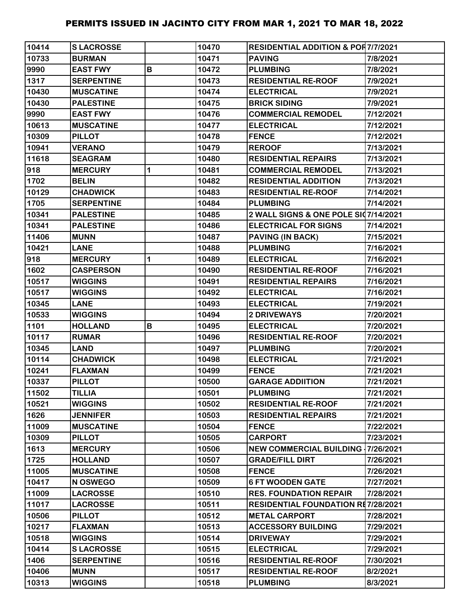| 10414 | <b>SLACROSSE</b>  |   | 10470 | <b>RESIDENTIAL ADDITION &amp; POR7/7/2021</b> |           |
|-------|-------------------|---|-------|-----------------------------------------------|-----------|
| 10733 | <b>BURMAN</b>     |   | 10471 | <b>PAVING</b>                                 | 7/8/2021  |
| 9990  | <b>EAST FWY</b>   | B | 10472 | <b>PLUMBING</b>                               | 7/8/2021  |
| 1317  | <b>SERPENTINE</b> |   | 10473 | <b>RESIDENTIAL RE-ROOF</b>                    | 7/9/2021  |
| 10430 | <b>MUSCATINE</b>  |   | 10474 | <b>ELECTRICAL</b>                             | 7/9/2021  |
| 10430 | <b>PALESTINE</b>  |   | 10475 | <b>BRICK SIDING</b>                           | 7/9/2021  |
| 9990  | <b>EAST FWY</b>   |   | 10476 | <b>COMMERCIAL REMODEL</b>                     | 7/12/2021 |
| 10613 | <b>MUSCATINE</b>  |   | 10477 | <b>ELECTRICAL</b>                             | 7/12/2021 |
| 10309 | <b>PILLOT</b>     |   | 10478 | <b>FENCE</b>                                  | 7/12/2021 |
| 10941 | <b>VERANO</b>     |   | 10479 | <b>REROOF</b>                                 | 7/13/2021 |
| 11618 | <b>SEAGRAM</b>    |   | 10480 | <b>RESIDENTIAL REPAIRS</b>                    | 7/13/2021 |
| 918   | <b>MERCURY</b>    | 1 | 10481 | <b>COMMERCIAL REMODEL</b>                     | 7/13/2021 |
| 1702  | <b>BELIN</b>      |   | 10482 | <b>RESIDENTIAL ADDITION</b>                   | 7/13/2021 |
| 10129 | <b>CHADWICK</b>   |   | 10483 | <b>RESIDENTIAL RE-ROOF</b>                    | 7/14/2021 |
| 1705  | <b>SERPENTINE</b> |   | 10484 | <b>PLUMBING</b>                               | 7/14/2021 |
| 10341 | <b>PALESTINE</b>  |   | 10485 | 2 WALL SIGNS & ONE POLE SI07/14/2021          |           |
| 10341 | <b>PALESTINE</b>  |   | 10486 | <b>ELECTRICAL FOR SIGNS</b>                   | 7/14/2021 |
| 11406 | <b>MUNN</b>       |   | 10487 | <b>PAVING (IN BACK)</b>                       | 7/15/2021 |
| 10421 | <b>LANE</b>       |   | 10488 | <b>PLUMBING</b>                               | 7/16/2021 |
| 918   | <b>MERCURY</b>    | 1 | 10489 | <b>ELECTRICAL</b>                             | 7/16/2021 |
| 1602  | <b>CASPERSON</b>  |   | 10490 | <b>RESIDENTIAL RE-ROOF</b>                    | 7/16/2021 |
| 10517 | <b>WIGGINS</b>    |   | 10491 | <b>RESIDENTIAL REPAIRS</b>                    | 7/16/2021 |
| 10517 | <b>WIGGINS</b>    |   | 10492 | <b>ELECTRICAL</b>                             | 7/16/2021 |
| 10345 | <b>LANE</b>       |   | 10493 | <b>ELECTRICAL</b>                             | 7/19/2021 |
| 10533 | <b>WIGGINS</b>    |   | 10494 | 2 DRIVEWAYS                                   | 7/20/2021 |
| 1101  | <b>HOLLAND</b>    | B | 10495 | <b>ELECTRICAL</b>                             | 7/20/2021 |
| 10117 | <b>RUMAR</b>      |   | 10496 | <b>RESIDENTIAL RE-ROOF</b>                    | 7/20/2021 |
| 10345 | <b>LAND</b>       |   | 10497 | <b>PLUMBING</b>                               | 7/20/2021 |
| 10114 | <b>CHADWICK</b>   |   | 10498 | <b>ELECTRICAL</b>                             | 7/21/2021 |
| 10241 | <b>FLAXMAN</b>    |   | 10499 | <b>FENCE</b>                                  | 7/21/2021 |
| 10337 | <b>PILLOT</b>     |   | 10500 | <b>GARAGE ADDIITION</b>                       | 7/21/2021 |
| 11502 | <b>TILLIA</b>     |   | 10501 | <b>PLUMBING</b>                               | 7/21/2021 |
| 10521 | <b>WIGGINS</b>    |   | 10502 | <b>RESIDENTIAL RE-ROOF</b>                    | 7/21/2021 |
| 1626  | <b>JENNIFER</b>   |   | 10503 | <b>RESIDENTIAL REPAIRS</b>                    | 7/21/2021 |
| 11009 | <b>MUSCATINE</b>  |   | 10504 | <b>FENCE</b>                                  | 7/22/2021 |
| 10309 | <b>PILLOT</b>     |   | 10505 | <b>CARPORT</b>                                | 7/23/2021 |
| 1613  | <b>MERCURY</b>    |   | 10506 | <b>NEW COMMERCIAL BUILDING 17/26/2021</b>     |           |
| 1725  | <b>HOLLAND</b>    |   | 10507 | <b>GRADE/FILL DIRT</b>                        | 7/26/2021 |
| 11005 | <b>MUSCATINE</b>  |   | 10508 | <b>FENCE</b>                                  | 7/26/2021 |
| 10417 | N OSWEGO          |   | 10509 | <b>6 FT WOODEN GATE</b>                       | 7/27/2021 |
| 11009 | <b>LACROSSE</b>   |   | 10510 | <b>RES. FOUNDATION REPAIR</b>                 | 7/28/2021 |
| 11017 | <b>LACROSSE</b>   |   | 10511 | <b>RESIDENTIAL FOUNDATION RE7/28/2021</b>     |           |
| 10506 | <b>PILLOT</b>     |   | 10512 | <b>METAL CARPORT</b>                          | 7/28/2021 |
| 10217 | <b>FLAXMAN</b>    |   | 10513 | <b>ACCESSORY BUILDING</b>                     | 7/29/2021 |
| 10518 | <b>WIGGINS</b>    |   | 10514 | <b>DRIVEWAY</b>                               | 7/29/2021 |
| 10414 | <b>SLACROSSE</b>  |   | 10515 | <b>ELECTRICAL</b>                             | 7/29/2021 |
| 1406  | <b>SERPENTINE</b> |   | 10516 | <b>RESIDENTIAL RE-ROOF</b>                    | 7/30/2021 |
| 10406 | <b>MUNN</b>       |   | 10517 | <b>RESIDENTIAL RE-ROOF</b>                    | 8/2/2021  |
| 10313 | <b>WIGGINS</b>    |   | 10518 | <b>PLUMBING</b>                               | 8/3/2021  |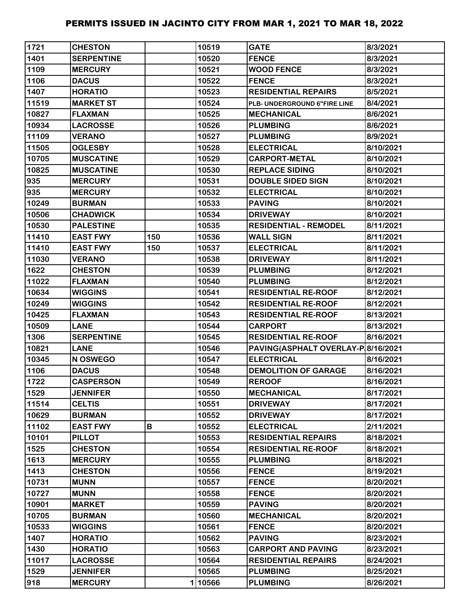| 1721  | <b>CHESTON</b>    |     | 10519  | <b>GATE</b>                        | 8/3/2021  |
|-------|-------------------|-----|--------|------------------------------------|-----------|
| 1401  | <b>SERPENTINE</b> |     | 10520  | <b>FENCE</b>                       | 8/3/2021  |
| 1109  | <b>MERCURY</b>    |     | 10521  | <b>WOOD FENCE</b>                  | 8/3/2021  |
| 1106  | <b>DACUS</b>      |     | 10522  | <b>FENCE</b>                       | 8/3/2021  |
| 1407  | <b>HORATIO</b>    |     | 10523  | <b>RESIDENTIAL REPAIRS</b>         | 8/5/2021  |
| 11519 | <b>MARKET ST</b>  |     | 10524  | PLB- UNDERGROUND 6"FIRE LINE       | 8/4/2021  |
| 10827 | <b>FLAXMAN</b>    |     | 10525  | <b>MECHANICAL</b>                  | 8/6/2021  |
| 10934 | <b>LACROSSE</b>   |     | 10526  | <b>PLUMBING</b>                    | 8/6/2021  |
| 11109 | <b>VERANO</b>     |     | 10527  | <b>PLUMBING</b>                    | 8/9/2021  |
| 11505 | <b>OGLESBY</b>    |     | 10528  | <b>ELECTRICAL</b>                  | 8/10/2021 |
| 10705 | <b>MUSCATINE</b>  |     | 10529  | <b>CARPORT-METAL</b>               | 8/10/2021 |
| 10825 | <b>MUSCATINE</b>  |     | 10530  | <b>REPLACE SIDING</b>              | 8/10/2021 |
| 935   | <b>MERCURY</b>    |     | 10531  | <b>DOUBLE SIDED SIGN</b>           | 8/10/2021 |
| 935   | <b>MERCURY</b>    |     | 10532  | <b>ELECTRICAL</b>                  | 8/10/2021 |
| 10249 | <b>BURMAN</b>     |     | 10533  | <b>PAVING</b>                      | 8/10/2021 |
| 10506 | <b>CHADWICK</b>   |     | 10534  | <b>DRIVEWAY</b>                    | 8/10/2021 |
| 10530 | <b>PALESTINE</b>  |     | 10535  | <b>RESIDENTIAL - REMODEL</b>       | 8/11/2021 |
| 11410 | <b>EAST FWY</b>   | 150 | 10536  | <b>WALL SIGN</b>                   | 8/11/2021 |
| 11410 | <b>EAST FWY</b>   | 150 | 10537  | <b>ELECTRICAL</b>                  | 8/11/2021 |
| 11030 | <b>VERANO</b>     |     | 10538  | <b>DRIVEWAY</b>                    | 8/11/2021 |
| 1622  | <b>CHESTON</b>    |     | 10539  | <b>PLUMBING</b>                    | 8/12/2021 |
| 11022 | <b>FLAXMAN</b>    |     | 10540  | <b>PLUMBING</b>                    | 8/12/2021 |
| 10634 | <b>WIGGINS</b>    |     | 10541  | <b>RESIDENTIAL RE-ROOF</b>         | 8/12/2021 |
| 10249 | <b>WIGGINS</b>    |     | 10542  | <b>RESIDENTIAL RE-ROOF</b>         | 8/12/2021 |
| 10425 | <b>FLAXMAN</b>    |     | 10543  | <b>RESIDENTIAL RE-ROOF</b>         | 8/13/2021 |
| 10509 | <b>LANE</b>       |     | 10544  | <b>CARPORT</b>                     | 8/13/2021 |
| 1306  | <b>SERPENTINE</b> |     | 10545  | <b>RESIDENTIAL RE-ROOF</b>         | 8/16/2021 |
| 10821 | <b>LANE</b>       |     | 10546  | PAVING(ASPHALT OVERLAY-P 8/16/2021 |           |
| 10345 | N OSWEGO          |     | 10547  | <b>ELECTRICAL</b>                  | 8/16/2021 |
| 1106  | <b>DACUS</b>      |     | 10548  | <b>DEMOLITION OF GARAGE</b>        | 8/16/2021 |
| 1722  | <b>CASPERSON</b>  |     | 10549  | <b>REROOF</b>                      | 8/16/2021 |
| 1529  | <b>JENNIFER</b>   |     | 10550  | <b>MECHANICAL</b>                  | 8/17/2021 |
| 11514 | <b>CELTIS</b>     |     | 10551  | <b>DRIVEWAY</b>                    | 8/17/2021 |
| 10629 | <b>BURMAN</b>     |     | 10552  | <b>DRIVEWAY</b>                    | 8/17/2021 |
| 11102 | <b>EAST FWY</b>   | B   | 10552  | <b>ELECTRICAL</b>                  | 2/11/2021 |
| 10101 | <b>PILLOT</b>     |     | 10553  | <b>RESIDENTIAL REPAIRS</b>         | 8/18/2021 |
| 1525  | <b>CHESTON</b>    |     | 10554  | <b>RESIDENTIAL RE-ROOF</b>         | 8/18/2021 |
| 1613  | <b>MERCURY</b>    |     | 10555  | <b>PLUMBING</b>                    | 8/18/2021 |
| 1413  | <b>CHESTON</b>    |     | 10556  | <b>FENCE</b>                       | 8/19/2021 |
| 10731 | <b>MUNN</b>       |     | 10557  | <b>FENCE</b>                       | 8/20/2021 |
| 10727 | <b>MUNN</b>       |     | 10558  | <b>FENCE</b>                       | 8/20/2021 |
| 10901 | <b>MARKET</b>     |     | 10559  | <b>PAVING</b>                      | 8/20/2021 |
| 10705 | <b>BURMAN</b>     |     | 10560  | <b>MECHANICAL</b>                  | 8/20/2021 |
| 10533 | <b>WIGGINS</b>    |     | 10561  | <b>FENCE</b>                       | 8/20/2021 |
| 1407  | <b>HORATIO</b>    |     | 10562  | <b>PAVING</b>                      | 8/23/2021 |
| 1430  | <b>HORATIO</b>    |     | 10563  | <b>CARPORT AND PAVING</b>          | 8/23/2021 |
| 11017 | <b>LACROSSE</b>   |     | 10564  | <b>RESIDENTIAL REPAIRS</b>         | 8/24/2021 |
| 1529  | <b>JENNIFER</b>   |     | 10565  | <b>PLUMBING</b>                    | 8/25/2021 |
| 918   | <b>MERCURY</b>    |     | 110566 | <b>PLUMBING</b>                    | 8/26/2021 |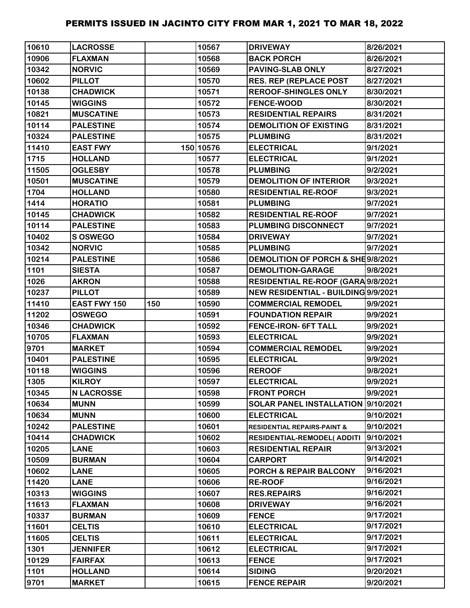| 10610 | <b>LACROSSE</b>     |     | 10567     | <b>DRIVEWAY</b>                        | 8/26/2021 |
|-------|---------------------|-----|-----------|----------------------------------------|-----------|
| 10906 | <b>FLAXMAN</b>      |     | 10568     | <b>BACK PORCH</b>                      | 8/26/2021 |
| 10342 | <b>NORVIC</b>       |     | 10569     | <b>PAVING-SLAB ONLY</b>                | 8/27/2021 |
| 10602 | <b>PILLOT</b>       |     | 10570     | <b>RES. REP (REPLACE POST</b>          | 8/27/2021 |
| 10138 | <b>CHADWICK</b>     |     | 10571     | <b>REROOF-SHINGLES ONLY</b>            | 8/30/2021 |
| 10145 | <b>WIGGINS</b>      |     | 10572     | <b>FENCE-WOOD</b>                      | 8/30/2021 |
| 10821 | <b>MUSCATINE</b>    |     | 10573     | <b>RESIDENTIAL REPAIRS</b>             | 8/31/2021 |
| 10114 | <b>PALESTINE</b>    |     | 10574     | <b>DEMOLITION OF EXISTING</b>          | 8/31/2021 |
| 10324 | <b>PALESTINE</b>    |     | 10575     | <b>PLUMBING</b>                        | 8/31/2021 |
| 11410 | <b>EAST FWY</b>     |     | 150 10576 | <b>ELECTRICAL</b>                      | 9/1/2021  |
| 1715  | <b>HOLLAND</b>      |     | 10577     | <b>ELECTRICAL</b>                      | 9/1/2021  |
| 11505 | <b>OGLESBY</b>      |     | 10578     | <b>PLUMBING</b>                        | 9/2/2021  |
| 10501 | <b>MUSCATINE</b>    |     | 10579     | <b>DEMOLITION OF INTERIOR</b>          | 9/3/2021  |
| 1704  | <b>HOLLAND</b>      |     | 10580     | <b>RESIDENTIAL RE-ROOF</b>             | 9/3/2021  |
| 1414  | <b>HORATIO</b>      |     | 10581     | <b>PLUMBING</b>                        | 9/7/2021  |
| 10145 | <b>CHADWICK</b>     |     | 10582     | <b>RESIDENTIAL RE-ROOF</b>             | 9/7/2021  |
| 10114 | <b>PALESTINE</b>    |     | 10583     | <b>PLUMBING DISCONNECT</b>             | 9/7/2021  |
| 10402 | S OSWEGO            |     | 10584     | <b>DRIVEWAY</b>                        | 9/7/2021  |
| 10342 | <b>NORVIC</b>       |     | 10585     | <b>PLUMBING</b>                        | 9/7/2021  |
| 10214 | <b>PALESTINE</b>    |     | 10586     | DEMOLITION OF PORCH & SHE9/8/2021      |           |
| 1101  | <b>SIESTA</b>       |     | 10587     | <b>DEMOLITION-GARAGE</b>               | 9/8/2021  |
| 1026  | <b>AKRON</b>        |     | 10588     | RESIDENTIAL RE-ROOF (GARA 9/8/2021     |           |
| 10237 | <b>PILLOT</b>       |     | 10589     | NEW RESIDENTIAL - BUILDING 9/9/2021    |           |
| 11410 | <b>EAST FWY 150</b> | 150 | 10590     | <b>COMMERCIAL REMODEL</b>              | 9/9/2021  |
| 11202 | <b>OSWEGO</b>       |     | 10591     | <b>FOUNDATION REPAIR</b>               | 9/9/2021  |
| 10346 | <b>CHADWICK</b>     |     | 10592     | <b>FENCE-IRON- 6FT TALL</b>            | 9/9/2021  |
| 10705 | <b>FLAXMAN</b>      |     | 10593     | <b>ELECTRICAL</b>                      | 9/9/2021  |
| 9701  | <b>MARKET</b>       |     | 10594     | <b>COMMERCIAL REMODEL</b>              | 9/9/2021  |
| 10401 | <b>PALESTINE</b>    |     | 10595     | <b>ELECTRICAL</b>                      | 9/9/2021  |
| 10118 | <b>WIGGINS</b>      |     | 10596     | <b>REROOF</b>                          | 9/8/2021  |
| 1305  | <b>KILROY</b>       |     | 10597     | <b>ELECTRICAL</b>                      | 9/9/2021  |
| 10345 | <b>N LACROSSE</b>   |     | 10598     | <b>FRONT PORCH</b>                     | 9/9/2021  |
| 10634 | <b>MUNN</b>         |     | 10599     | SOLAR PANEL INSTALLATION 9/10/2021     |           |
| 10634 | <b>MUNN</b>         |     | 10600     | <b>ELECTRICAL</b>                      | 9/10/2021 |
| 10242 | <b>PALESTINE</b>    |     | 10601     | <b>RESIDENTIAL REPAIRS-PAINT &amp;</b> | 9/10/2021 |
| 10414 | <b>CHADWICK</b>     |     | 10602     | RESIDENTIAL-REMODEL( ADDITI            | 9/10/2021 |
| 10205 | <b>LANE</b>         |     | 10603     | <b>RESIDENTIAL REPAIR</b>              | 9/13/2021 |
| 10509 | <b>BURMAN</b>       |     | 10604     | CARPORT                                | 9/14/2021 |
| 10602 | <b>LANE</b>         |     | 10605     | <b>PORCH &amp; REPAIR BALCONY</b>      | 9/16/2021 |
| 11420 | <b>LANE</b>         |     | 10606     | <b>RE-ROOF</b>                         | 9/16/2021 |
| 10313 | <b>WIGGINS</b>      |     | 10607     | <b>RES.REPAIRS</b>                     | 9/16/2021 |
| 11613 | <b>FLAXMAN</b>      |     | 10608     | <b>DRIVEWAY</b>                        | 9/16/2021 |
| 10337 | <b>BURMAN</b>       |     | 10609     | <b>FENCE</b>                           | 9/17/2021 |
| 11601 | <b>CELTIS</b>       |     | 10610     | <b>ELECTRICAL</b>                      | 9/17/2021 |
| 11605 | <b>CELTIS</b>       |     | 10611     | <b>ELECTRICAL</b>                      | 9/17/2021 |
| 1301  | <b>JENNIFER</b>     |     | 10612     | <b>ELECTRICAL</b>                      | 9/17/2021 |
| 10129 | <b>FAIRFAX</b>      |     | 10613     | <b>FENCE</b>                           | 9/17/2021 |
| 1101  | <b>HOLLAND</b>      |     | 10614     | <b>SIDING</b>                          | 9/20/2021 |
| 9701  | <b>MARKET</b>       |     | 10615     | <b>FENCE REPAIR</b>                    | 9/20/2021 |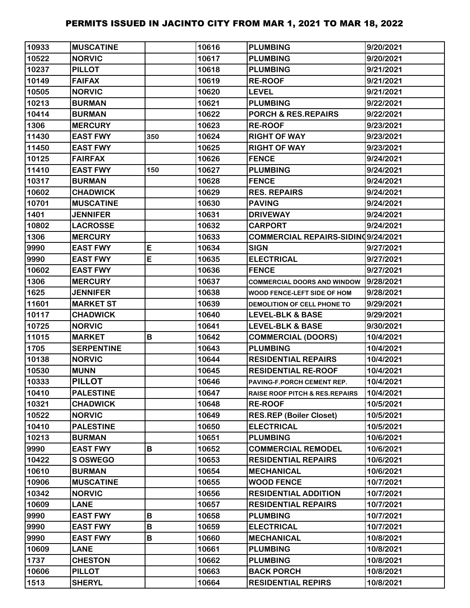| 10933 | <b>MUSCATINE</b>  |              | 10616 | <b>PLUMBING</b>                           | 9/20/2021 |
|-------|-------------------|--------------|-------|-------------------------------------------|-----------|
| 10522 | <b>NORVIC</b>     |              | 10617 | <b>PLUMBING</b>                           | 9/20/2021 |
| 10237 | <b>PILLOT</b>     |              | 10618 | <b>PLUMBING</b>                           | 9/21/2021 |
| 10149 | <b>FAIFAX</b>     |              | 10619 | <b>RE-ROOF</b>                            | 9/21/2021 |
| 10505 | <b>NORVIC</b>     |              | 10620 | <b>LEVEL</b>                              | 9/21/2021 |
| 10213 | <b>BURMAN</b>     |              | 10621 | <b>PLUMBING</b>                           | 9/22/2021 |
| 10414 | <b>BURMAN</b>     |              | 10622 | <b>PORCH &amp; RES.REPAIRS</b>            | 9/22/2021 |
| 1306  | <b>MERCURY</b>    |              | 10623 | <b>RE-ROOF</b>                            | 9/23/2021 |
| 11430 | <b>EAST FWY</b>   | 350          | 10624 | <b>RIGHT OF WAY</b>                       | 9/23/2021 |
| 11450 | <b>EAST FWY</b>   |              | 10625 | <b>RIGHT OF WAY</b>                       | 9/23/2021 |
| 10125 | <b>FAIRFAX</b>    |              | 10626 | <b>FENCE</b>                              | 9/24/2021 |
| 11410 | <b>EAST FWY</b>   | 150          | 10627 | <b>PLUMBING</b>                           | 9/24/2021 |
| 10317 | <b>BURMAN</b>     |              | 10628 | <b>FENCE</b>                              | 9/24/2021 |
| 10602 | <b>CHADWICK</b>   |              | 10629 | <b>RES. REPAIRS</b>                       | 9/24/2021 |
| 10701 | <b>MUSCATINE</b>  |              | 10630 | <b>PAVING</b>                             | 9/24/2021 |
| 1401  | <b>JENNIFER</b>   |              | 10631 | <b>DRIVEWAY</b>                           | 9/24/2021 |
| 10802 | <b>LACROSSE</b>   |              | 10632 | <b>CARPORT</b>                            | 9/24/2021 |
| 1306  | <b>MERCURY</b>    |              | 10633 | COMMERCIAL REPAIRS-SIDIN09/24/2021        |           |
| 9990  | <b>EAST FWY</b>   | E            | 10634 | <b>SIGN</b>                               | 9/27/2021 |
| 9990  | <b>EAST FWY</b>   | E            | 10635 | <b>ELECTRICAL</b>                         | 9/27/2021 |
| 10602 | <b>EAST FWY</b>   |              | 10636 | <b>FENCE</b>                              | 9/27/2021 |
| 1306  | <b>MERCURY</b>    |              | 10637 | <b>COMMERCIAL DOORS AND WINDOW</b>        | 9/28/2021 |
| 1625  | <b>JENNIFER</b>   |              | 10638 | WOOD FENCE-LEFT SIDE OF HOM               | 9/28/2021 |
| 11601 | <b>MARKET ST</b>  |              | 10639 | DEMOLITION OF CELL PHONE TO               | 9/29/2021 |
| 10117 | <b>CHADWICK</b>   |              | 10640 | <b>LEVEL-BLK &amp; BASE</b>               | 9/29/2021 |
| 10725 | <b>NORVIC</b>     |              | 10641 | <b>LEVEL-BLK &amp; BASE</b>               | 9/30/2021 |
| 11015 | <b>MARKET</b>     | B            | 10642 | <b>COMMERCIAL (DOORS)</b>                 | 10/4/2021 |
| 1705  | <b>SERPENTINE</b> |              | 10643 | <b>PLUMBING</b>                           | 10/4/2021 |
| 10138 | <b>NORVIC</b>     |              | 10644 | <b>RESIDENTIAL REPAIRS</b>                | 10/4/2021 |
| 10530 | <b>MUNN</b>       |              | 10645 | <b>RESIDENTIAL RE-ROOF</b>                | 10/4/2021 |
| 10333 | <b>PILLOT</b>     |              | 10646 | PAVING-F.PORCH CEMENT REP.                | 10/4/2021 |
| 10410 | <b>PALESTINE</b>  |              | 10647 | <b>RAISE ROOF PITCH &amp; RES.REPAIRS</b> | 10/4/2021 |
| 10321 | <b>CHADWICK</b>   |              | 10648 | <b>RE-ROOF</b>                            | 10/5/2021 |
| 10522 | <b>NORVIC</b>     |              | 10649 | <b>RES.REP (Boiler Closet)</b>            | 10/5/2021 |
| 10410 | <b>PALESTINE</b>  |              | 10650 | <b>ELECTRICAL</b>                         | 10/5/2021 |
| 10213 | <b>BURMAN</b>     |              | 10651 | <b>PLUMBING</b>                           | 10/6/2021 |
| 9990  | <b>EAST FWY</b>   | B            | 10652 | <b>COMMERCIAL REMODEL</b>                 | 10/6/2021 |
| 10422 | <b>SOSWEGO</b>    |              | 10653 | <b>RESIDENTIAL REPAIRS</b>                | 10/6/2021 |
| 10610 | <b>BURMAN</b>     |              | 10654 | <b>MECHANICAL</b>                         | 10/6/2021 |
| 10906 | <b>MUSCATINE</b>  |              | 10655 | <b>WOOD FENCE</b>                         | 10/7/2021 |
| 10342 | <b>NORVIC</b>     |              | 10656 | <b>RESIDENTIAL ADDITION</b>               | 10/7/2021 |
| 10609 | <b>LANE</b>       |              | 10657 | <b>RESIDENTIAL REPAIRS</b>                | 10/7/2021 |
| 9990  | <b>EAST FWY</b>   | B            | 10658 | <b>PLUMBING</b>                           | 10/7/2021 |
| 9990  | <b>EAST FWY</b>   | $\, {\bf B}$ | 10659 | <b>ELECTRICAL</b>                         | 10/7/2021 |
| 9990  | <b>EAST FWY</b>   | В            | 10660 | <b>MECHANICAL</b>                         | 10/8/2021 |
| 10609 | <b>LANE</b>       |              | 10661 | <b>PLUMBING</b>                           | 10/8/2021 |
| 1737  | <b>CHESTON</b>    |              | 10662 | <b>PLUMBING</b>                           | 10/8/2021 |
| 10606 | <b>PILLOT</b>     |              | 10663 | <b>BACK PORCH</b>                         | 10/8/2021 |
| 1513  | <b>SHERYL</b>     |              | 10664 | <b>RESIDENTIAL REPIRS</b>                 | 10/8/2021 |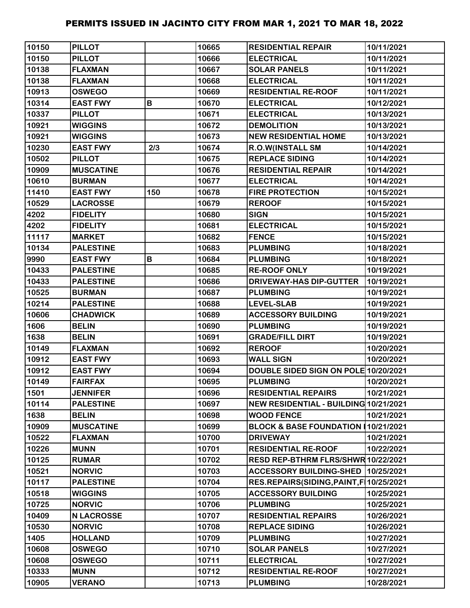| 10150 | <b>PILLOT</b>     |     | 10665 | <b>RESIDENTIAL REPAIR</b>               | 10/11/2021 |
|-------|-------------------|-----|-------|-----------------------------------------|------------|
| 10150 | <b>PILLOT</b>     |     | 10666 | <b>ELECTRICAL</b>                       | 10/11/2021 |
| 10138 | <b>FLAXMAN</b>    |     | 10667 | <b>SOLAR PANELS</b>                     | 10/11/2021 |
| 10138 | <b>FLAXMAN</b>    |     | 10668 | <b>ELECTRICAL</b>                       | 10/11/2021 |
| 10913 | <b>OSWEGO</b>     |     | 10669 | <b>RESIDENTIAL RE-ROOF</b>              | 10/11/2021 |
| 10314 | <b>EAST FWY</b>   | B   | 10670 | <b>ELECTRICAL</b>                       | 10/12/2021 |
| 10337 | <b>PILLOT</b>     |     | 10671 | <b>ELECTRICAL</b>                       | 10/13/2021 |
| 10921 | <b>WIGGINS</b>    |     | 10672 | <b>DEMOLITION</b>                       | 10/13/2021 |
| 10921 | <b>WIGGINS</b>    |     | 10673 | <b>NEW RESIDENTIAL HOME</b>             | 10/13/2021 |
| 10230 | <b>EAST FWY</b>   | 2/3 | 10674 | R.O.W(INSTALL SM                        | 10/14/2021 |
| 10502 | <b>PILLOT</b>     |     | 10675 | <b>REPLACE SIDING</b>                   | 10/14/2021 |
| 10909 | <b>MUSCATINE</b>  |     | 10676 | <b>RESIDENTIAL REPAIR</b>               | 10/14/2021 |
| 10610 | <b>BURMAN</b>     |     | 10677 | <b>ELECTRICAL</b>                       | 10/14/2021 |
| 11410 | <b>EAST FWY</b>   | 150 | 10678 | <b>FIRE PROTECTION</b>                  | 10/15/2021 |
| 10529 | <b>LACROSSE</b>   |     | 10679 | <b>REROOF</b>                           | 10/15/2021 |
| 4202  | <b>FIDELITY</b>   |     | 10680 | <b>SIGN</b>                             | 10/15/2021 |
| 4202  | <b>FIDELITY</b>   |     | 10681 | <b>ELECTRICAL</b>                       | 10/15/2021 |
| 11117 | <b>MARKET</b>     |     | 10682 | <b>FENCE</b>                            | 10/15/2021 |
| 10134 | <b>PALESTINE</b>  |     | 10683 | <b>PLUMBING</b>                         | 10/18/2021 |
| 9990  | <b>EAST FWY</b>   | B   | 10684 | <b>PLUMBING</b>                         | 10/18/2021 |
| 10433 | <b>PALESTINE</b>  |     | 10685 | <b>RE-ROOF ONLY</b>                     | 10/19/2021 |
| 10433 | <b>PALESTINE</b>  |     | 10686 | DRIVEWAY-HAS DIP-GUTTER                 | 10/19/2021 |
| 10525 | <b>BURMAN</b>     |     | 10687 | <b>PLUMBING</b>                         | 10/19/2021 |
| 10214 | <b>PALESTINE</b>  |     | 10688 | <b>LEVEL-SLAB</b>                       | 10/19/2021 |
| 10606 | <b>CHADWICK</b>   |     | 10689 | <b>ACCESSORY BUILDING</b>               | 10/19/2021 |
| 1606  | <b>BELIN</b>      |     | 10690 | <b>PLUMBING</b>                         | 10/19/2021 |
| 1638  | <b>BELIN</b>      |     | 10691 | <b>GRADE/FILL DIRT</b>                  | 10/19/2021 |
| 10149 | <b>FLAXMAN</b>    |     | 10692 | <b>REROOF</b>                           | 10/20/2021 |
| 10912 | <b>EAST FWY</b>   |     | 10693 | <b>WALL SIGN</b>                        | 10/20/2021 |
| 10912 | <b>EAST FWY</b>   |     | 10694 | DOUBLE SIDED SIGN ON POLE 10/20/2021    |            |
| 10149 | <b>FAIRFAX</b>    |     | 10695 | <b>PLUMBING</b>                         | 10/20/2021 |
| 1501  | <b>JENNIFER</b>   |     | 10696 | <b>RESIDENTIAL REPAIRS</b>              | 10/21/2021 |
| 10114 | <b>PALESTINE</b>  |     | 10697 | NEW RESIDENTIAL - BUILDING 10/21/2021   |            |
| 1638  | <b>BELIN</b>      |     | 10698 | <b>WOOD FENCE</b>                       | 10/21/2021 |
| 10909 | <b>MUSCATINE</b>  |     | 10699 | <b>BLOCK &amp; BASE FOUNDATION I</b>    | 10/21/2021 |
| 10522 | <b>FLAXMAN</b>    |     | 10700 | <b>DRIVEWAY</b>                         | 10/21/2021 |
| 10226 | <b>MUNN</b>       |     | 10701 | <b>RESIDENTIAL RE-ROOF</b>              | 10/22/2021 |
| 10125 | <b>RUMAR</b>      |     | 10702 | RESD REP-BTHRM FLRS/SHWR 10/22/2021     |            |
| 10521 | <b>NORVIC</b>     |     | 10703 | <b>ACCESSORY BUILDING-SHED</b>          | 10/25/2021 |
| 10117 | <b>PALESTINE</b>  |     | 10704 | RES.REPAIRS(SIDING, PAINT, F 10/25/2021 |            |
| 10518 | <b>WIGGINS</b>    |     | 10705 | <b>ACCESSORY BUILDING</b>               | 10/25/2021 |
| 10725 | <b>NORVIC</b>     |     | 10706 | <b>PLUMBING</b>                         | 10/25/2021 |
| 10409 | <b>N LACROSSE</b> |     | 10707 | <b>RESIDENTIAL REPAIRS</b>              | 10/26/2021 |
| 10530 | <b>NORVIC</b>     |     | 10708 | <b>REPLACE SIDING</b>                   | 10/26/2021 |
| 1405  | <b>HOLLAND</b>    |     | 10709 | <b>PLUMBING</b>                         | 10/27/2021 |
| 10608 | <b>OSWEGO</b>     |     | 10710 | <b>SOLAR PANELS</b>                     | 10/27/2021 |
| 10608 | <b>OSWEGO</b>     |     | 10711 | <b>ELECTRICAL</b>                       | 10/27/2021 |
| 10333 | <b>MUNN</b>       |     | 10712 | <b>RESIDENTIAL RE-ROOF</b>              | 10/27/2021 |
| 10905 | <b>VERANO</b>     |     | 10713 | <b>PLUMBING</b>                         | 10/28/2021 |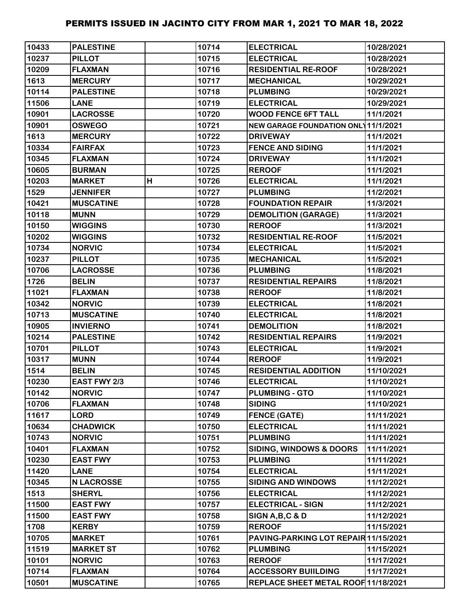| 10433 | <b>PALESTINE</b>    |   | 10714 | <b>ELECTRICAL</b>                    | 10/28/2021 |
|-------|---------------------|---|-------|--------------------------------------|------------|
| 10237 | <b>PILLOT</b>       |   | 10715 | <b>ELECTRICAL</b>                    | 10/28/2021 |
| 10209 | <b>FLAXMAN</b>      |   | 10716 | <b>RESIDENTIAL RE-ROOF</b>           | 10/28/2021 |
| 1613  | <b>MERCURY</b>      |   | 10717 | <b>MECHANICAL</b>                    | 10/29/2021 |
| 10114 | <b>PALESTINE</b>    |   | 10718 | <b>PLUMBING</b>                      | 10/29/2021 |
| 11506 | <b>LANE</b>         |   | 10719 | <b>ELECTRICAL</b>                    | 10/29/2021 |
| 10901 | <b>LACROSSE</b>     |   | 10720 | <b>WOOD FENCE 6FT TALL</b>           | 11/1/2021  |
| 10901 | <b>OSWEGO</b>       |   | 10721 | NEW GARAGE FOUNDATION ONL 11/1/2021  |            |
| 1613  | <b>MERCURY</b>      |   | 10722 | <b>DRIVEWAY</b>                      | 11/1/2021  |
| 10334 | <b>FAIRFAX</b>      |   | 10723 | <b>FENCE AND SIDING</b>              | 11/1/2021  |
| 10345 | <b>FLAXMAN</b>      |   | 10724 | <b>DRIVEWAY</b>                      | 11/1/2021  |
| 10605 | <b>BURMAN</b>       |   | 10725 | <b>REROOF</b>                        | 11/1/2021  |
| 10203 | <b>MARKET</b>       | H | 10726 | <b>ELECTRICAL</b>                    | 11/1/2021  |
| 1529  | <b>JENNIFER</b>     |   | 10727 | <b>PLUMBING</b>                      | 11/2/2021  |
| 10421 | <b>MUSCATINE</b>    |   | 10728 | <b>FOUNDATION REPAIR</b>             | 11/3/2021  |
| 10118 | <b>MUNN</b>         |   | 10729 | <b>DEMOLITION (GARAGE)</b>           | 11/3/2021  |
| 10150 | <b>WIGGINS</b>      |   | 10730 | <b>REROOF</b>                        | 11/3/2021  |
| 10202 | <b>WIGGINS</b>      |   | 10732 | <b>RESIDENTIAL RE-ROOF</b>           | 11/5/2021  |
| 10734 | <b>NORVIC</b>       |   | 10734 | <b>ELECTRICAL</b>                    | 11/5/2021  |
| 10237 | <b>PILLOT</b>       |   | 10735 | <b>MECHANICAL</b>                    | 11/5/2021  |
| 10706 | <b>LACROSSE</b>     |   | 10736 | <b>PLUMBING</b>                      | 11/8/2021  |
| 1726  | <b>BELIN</b>        |   | 10737 | <b>RESIDENTIAL REPAIRS</b>           | 11/8/2021  |
| 11021 | <b>FLAXMAN</b>      |   | 10738 | <b>REROOF</b>                        | 11/8/2021  |
| 10342 | <b>NORVIC</b>       |   | 10739 | <b>ELECTRICAL</b>                    | 11/8/2021  |
| 10713 | <b>MUSCATINE</b>    |   | 10740 | <b>ELECTRICAL</b>                    | 11/8/2021  |
| 10905 | <b>INVIERNO</b>     |   | 10741 | <b>DEMOLITION</b>                    | 11/8/2021  |
| 10214 | <b>PALESTINE</b>    |   | 10742 | <b>RESIDENTIAL REPAIRS</b>           | 11/9/2021  |
| 10701 | <b>PILLOT</b>       |   | 10743 | <b>ELECTRICAL</b>                    | 11/9/2021  |
| 10317 | <b>MUNN</b>         |   | 10744 | <b>REROOF</b>                        | 11/9/2021  |
| 1514  | <b>BELIN</b>        |   | 10745 | <b>RESIDENTIAL ADDITION</b>          | 11/10/2021 |
| 10230 | <b>EAST FWY 2/3</b> |   | 10746 | <b>ELECTRICAL</b>                    | 11/10/2021 |
| 10142 | <b>NORVIC</b>       |   | 10747 | <b>PLUMBING - GTO</b>                | 11/10/2021 |
| 10706 | <b>FLAXMAN</b>      |   | 10748 | <b>SIDING</b>                        | 11/10/2021 |
| 11617 | <b>LORD</b>         |   | 10749 | <b>FENCE (GATE)</b>                  | 11/11/2021 |
| 10634 | <b>CHADWICK</b>     |   | 10750 | <b>ELECTRICAL</b>                    | 11/11/2021 |
| 10743 | <b>NORVIC</b>       |   | 10751 | <b>PLUMBING</b>                      | 11/11/2021 |
| 10401 | <b>FLAXMAN</b>      |   | 10752 | <b>SIDING, WINDOWS &amp; DOORS</b>   | 11/11/2021 |
| 10230 | <b>EAST FWY</b>     |   | 10753 | <b>PLUMBING</b>                      | 11/11/2021 |
| 11420 | <b>LANE</b>         |   | 10754 | <b>ELECTRICAL</b>                    | 11/11/2021 |
| 10345 | <b>N LACROSSE</b>   |   | 10755 | <b>SIDING AND WINDOWS</b>            | 11/12/2021 |
| 1513  | <b>SHERYL</b>       |   | 10756 | <b>ELECTRICAL</b>                    | 11/12/2021 |
| 11500 | <b>EAST FWY</b>     |   | 10757 | <b>ELECTRICAL - SIGN</b>             | 11/12/2021 |
| 11500 | <b>EAST FWY</b>     |   | 10758 | SIGN A, B, C & D                     | 11/12/2021 |
| 1708  | <b>KERBY</b>        |   | 10759 | <b>REROOF</b>                        | 11/15/2021 |
| 10705 | <b>MARKET</b>       |   | 10761 | PAVING-PARKING LOT REPAIR 11/15/2021 |            |
| 11519 | <b>MARKET ST</b>    |   | 10762 | <b>PLUMBING</b>                      | 11/15/2021 |
| 10101 | <b>NORVIC</b>       |   | 10763 | <b>REROOF</b>                        | 11/17/2021 |
| 10714 | <b>FLAXMAN</b>      |   | 10764 | <b>ACCESSORY BUIILDING</b>           | 11/17/2021 |
| 10501 | <b>MUSCATINE</b>    |   | 10765 | REPLACE SHEET METAL ROOF 11/18/2021  |            |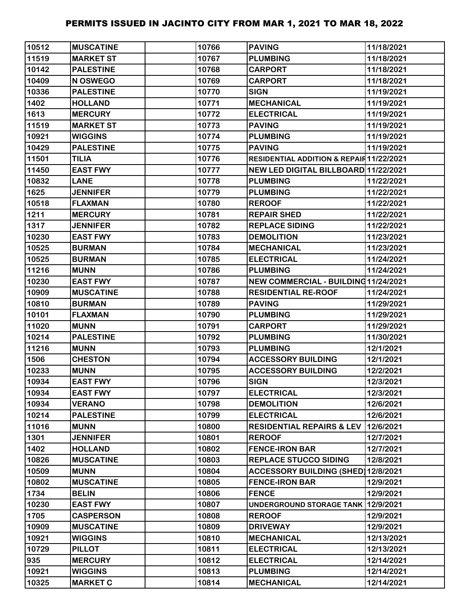| 10512 | <b>MUSCATINE</b> | 10766 | <b>PAVING</b>                            | 11/18/2021 |
|-------|------------------|-------|------------------------------------------|------------|
| 11519 | <b>MARKET ST</b> | 10767 | <b>PLUMBING</b>                          | 11/18/2021 |
| 10142 | <b>PALESTINE</b> | 10768 | <b>CARPORT</b>                           | 11/18/2021 |
| 10409 | N OSWEGO         | 10769 | <b>CARPORT</b>                           | 11/18/2021 |
| 10336 | <b>PALESTINE</b> | 10770 | <b>SIGN</b>                              | 11/19/2021 |
| 1402  | <b>HOLLAND</b>   | 10771 | <b>MECHANICAL</b>                        | 11/19/2021 |
| 1613  | <b>MERCURY</b>   | 10772 | <b>ELECTRICAL</b>                        | 11/19/2021 |
| 11519 | <b>MARKET ST</b> | 10773 | <b>PAVING</b>                            | 11/19/2021 |
| 10921 | <b>WIGGINS</b>   | 10774 | <b>PLUMBING</b>                          | 11/19/2021 |
| 10429 | <b>PALESTINE</b> | 10775 | <b>PAVING</b>                            | 11/19/2021 |
| 11501 | <b>TILIA</b>     | 10776 | RESIDENTIAL ADDITION & REPAIR 11/22/2021 |            |
| 11450 | <b>EAST FWY</b>  | 10777 | NEW LED DIGITAL BILLBOARD 11/22/2021     |            |
| 10832 | <b>LANE</b>      | 10778 | <b>PLUMBING</b>                          | 11/22/2021 |
| 1625  | <b>JENNIFER</b>  | 10779 | <b>PLUMBING</b>                          | 11/22/2021 |
| 10518 | <b>FLAXMAN</b>   | 10780 | <b>REROOF</b>                            | 11/22/2021 |
| 1211  | <b>MERCURY</b>   | 10781 | <b>REPAIR SHED</b>                       | 11/22/2021 |
| 1317  | <b>JENNIFER</b>  | 10782 | <b>REPLACE SIDING</b>                    | 11/22/2021 |
| 10230 | <b>EAST FWY</b>  | 10783 | <b>DEMOLITION</b>                        | 11/23/2021 |
| 10525 | <b>BURMAN</b>    | 10784 | <b>MECHANICAL</b>                        | 11/23/2021 |
| 10525 | <b>BURMAN</b>    | 10785 | <b>ELECTRICAL</b>                        | 11/24/2021 |
| 11216 | <b>MUNN</b>      | 10786 | <b>PLUMBING</b>                          | 11/24/2021 |
| 10230 | <b>EAST FWY</b>  | 10787 | NEW COMMERCIAL - BUILDING11/24/2021      |            |
| 10909 | <b>MUSCATINE</b> | 10788 | <b>RESIDENTIAL RE-ROOF</b>               | 11/24/2021 |
| 10810 | <b>BURMAN</b>    | 10789 | <b>PAVING</b>                            | 11/29/2021 |
| 10101 | <b>FLAXMAN</b>   | 10790 | <b>PLUMBING</b>                          | 11/29/2021 |
| 11020 | <b>MUNN</b>      | 10791 | <b>CARPORT</b>                           | 11/29/2021 |
| 10214 | <b>PALESTINE</b> | 10792 | <b>PLUMBING</b>                          | 11/30/2021 |
| 11216 | <b>MUNN</b>      | 10793 | <b>PLUMBING</b>                          | 12/1/2021  |
| 1506  | <b>CHESTON</b>   | 10794 | <b>ACCESSORY BUILDING</b>                | 12/1/2021  |
| 10233 | <b>MUNN</b>      | 10795 | <b>ACCESSORY BUILDING</b>                | 12/2/2021  |
| 10934 | <b>EAST FWY</b>  | 10796 | <b>SIGN</b>                              | 12/3/2021  |
| 10934 | <b>EAST FWY</b>  | 10797 | <b>ELECTRICAL</b>                        | 12/3/2021  |
| 10934 | <b>VERANO</b>    | 10798 | <b>DEMOLITION</b>                        | 12/6/2021  |
| 10214 | <b>PALESTINE</b> | 10799 | <b>ELECTRICAL</b>                        | 12/6/2021  |
| 11016 | <b>MUNN</b>      | 10800 | <b>RESIDENTIAL REPAIRS &amp; LEV</b>     | 12/6/2021  |
| 1301  | <b>JENNIFER</b>  | 10801 | <b>REROOF</b>                            | 12/7/2021  |
| 1402  | <b>HOLLAND</b>   | 10802 | <b>FENCE-IRON BAR</b>                    | 12/7/2021  |
| 10826 | <b>MUSCATINE</b> | 10803 | <b>REPLACE STUCCO SIDING</b>             | 12/8/2021  |
| 10509 | <b>MUNN</b>      | 10804 | ACCESSORY BUILDING (SHED) 12/8/2021      |            |
| 10802 | <b>MUSCATINE</b> | 10805 | <b>FENCE-IRON BAR</b>                    | 12/9/2021  |
| 1734  | <b>BELIN</b>     | 10806 | <b>FENCE</b>                             | 12/9/2021  |
| 10230 | <b>EAST FWY</b>  | 10807 | UNDERGROUND STORAGE TANK 12/9/2021       |            |
| 1705  | <b>CASPERSON</b> | 10808 | <b>REROOF</b>                            | 12/9/2021  |
| 10909 | <b>MUSCATINE</b> | 10809 | <b>DRIVEWAY</b>                          | 12/9/2021  |
| 10921 | <b>WIGGINS</b>   | 10810 | <b>MECHANICAL</b>                        | 12/13/2021 |
| 10729 | <b>PILLOT</b>    | 10811 | <b>ELECTRICAL</b>                        | 12/13/2021 |
| 935   | <b>MERCURY</b>   | 10812 | <b>ELECTRICAL</b>                        | 12/14/2021 |
| 10921 | <b>WIGGINS</b>   | 10813 | <b>PLUMBING</b>                          | 12/14/2021 |
| 10325 | <b>MARKET C</b>  | 10814 | <b>MECHANICAL</b>                        | 12/14/2021 |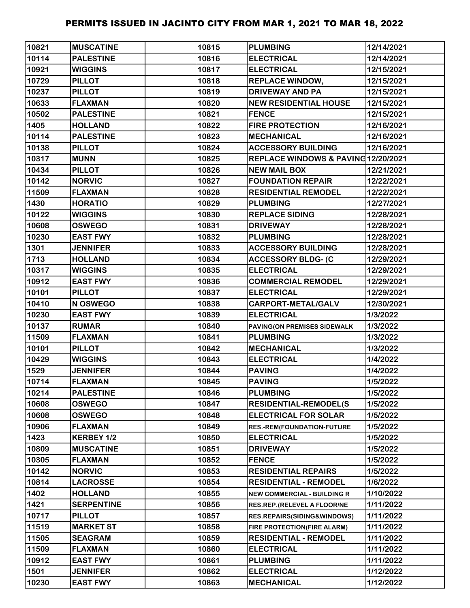| 10821 | <b>MUSCATINE</b>  | 10815 | <b>PLUMBING</b>                    | 12/14/2021 |
|-------|-------------------|-------|------------------------------------|------------|
| 10114 | <b>PALESTINE</b>  | 10816 | <b>ELECTRICAL</b>                  | 12/14/2021 |
| 10921 | <b>WIGGINS</b>    | 10817 | <b>ELECTRICAL</b>                  | 12/15/2021 |
| 10729 | <b>PILLOT</b>     | 10818 | <b>REPLACE WINDOW,</b>             | 12/15/2021 |
| 10237 | <b>PILLOT</b>     | 10819 | <b>DRIVEWAY AND PA</b>             | 12/15/2021 |
| 10633 | <b>FLAXMAN</b>    | 10820 | <b>NEW RESIDENTIAL HOUSE</b>       | 12/15/2021 |
| 10502 | <b>PALESTINE</b>  | 10821 | <b>FENCE</b>                       | 12/15/2021 |
| 1405  | <b>HOLLAND</b>    | 10822 | <b>FIRE PROTECTION</b>             | 12/16/2021 |
| 10114 | <b>PALESTINE</b>  | 10823 | <b>MECHANICAL</b>                  | 12/16/2021 |
| 10138 | <b>PILLOT</b>     | 10824 | <b>ACCESSORY BUILDING</b>          | 12/16/2021 |
| 10317 | <b>MUNN</b>       | 10825 | REPLACE WINDOWS & PAVING12/20/2021 |            |
| 10434 | <b>PILLOT</b>     | 10826 | <b>NEW MAIL BOX</b>                | 12/21/2021 |
| 10142 | <b>NORVIC</b>     | 10827 | <b>FOUNDATION REPAIR</b>           | 12/22/2021 |
| 11509 | <b>FLAXMAN</b>    | 10828 | <b>RESIDENTIAL REMODEL</b>         | 12/22/2021 |
| 1430  | <b>HORATIO</b>    | 10829 | <b>PLUMBING</b>                    | 12/27/2021 |
| 10122 | <b>WIGGINS</b>    | 10830 | <b>REPLACE SIDING</b>              | 12/28/2021 |
| 10608 | <b>OSWEGO</b>     | 10831 | <b>DRIVEWAY</b>                    | 12/28/2021 |
| 10230 | <b>EAST FWY</b>   | 10832 | <b>PLUMBING</b>                    | 12/28/2021 |
| 1301  | <b>JENNIFER</b>   | 10833 | <b>ACCESSORY BUILDING</b>          | 12/28/2021 |
| 1713  | <b>HOLLAND</b>    | 10834 | <b>ACCESSORY BLDG- (C</b>          | 12/29/2021 |
| 10317 | <b>WIGGINS</b>    | 10835 | <b>ELECTRICAL</b>                  | 12/29/2021 |
| 10912 | <b>EAST FWY</b>   | 10836 | <b>COMMERCIAL REMODEL</b>          | 12/29/2021 |
| 10101 | <b>PILLOT</b>     | 10837 | <b>ELECTRICAL</b>                  | 12/29/2021 |
| 10410 | N OSWEGO          | 10838 | CARPORT-METAL/GALV                 | 12/30/2021 |
| 10230 | <b>EAST FWY</b>   | 10839 | <b>ELECTRICAL</b>                  | 1/3/2022   |
| 10137 | <b>RUMAR</b>      | 10840 | PAVING(ON PREMISES SIDEWALK        | 1/3/2022   |
| 11509 | <b>FLAXMAN</b>    | 10841 | <b>PLUMBING</b>                    | 1/3/2022   |
| 10101 | <b>PILLOT</b>     | 10842 | <b>MECHANICAL</b>                  | 1/3/2022   |
| 10429 | <b>WIGGINS</b>    | 10843 | <b>ELECTRICAL</b>                  | 1/4/2022   |
| 1529  | <b>JENNIFER</b>   | 10844 | <b>PAVING</b>                      | 1/4/2022   |
| 10714 | <b>FLAXMAN</b>    | 10845 | <b>PAVING</b>                      | 1/5/2022   |
| 10214 | <b>PALESTINE</b>  | 10846 | <b>PLUMBING</b>                    | 1/5/2022   |
| 10608 | <b>OSWEGO</b>     | 10847 | <b>RESIDENTIAL-REMODEL(S</b>       | 1/5/2022   |
| 10608 | <b>OSWEGO</b>     | 10848 | <b>ELECTRICAL FOR SOLAR</b>        | 1/5/2022   |
| 10906 | <b>FLAXMAN</b>    | 10849 | <b>RES.-REM(FOUNDATION-FUTURE</b>  | 1/5/2022   |
| 1423  | KERBEY 1/2        | 10850 | <b>ELECTRICAL</b>                  | 1/5/2022   |
| 10809 | <b>MUSCATINE</b>  | 10851 | <b>DRIVEWAY</b>                    | 1/5/2022   |
| 10305 | <b>FLAXMAN</b>    | 10852 | <b>FENCE</b>                       | 1/5/2022   |
| 10142 | <b>NORVIC</b>     | 10853 | <b>RESIDENTIAL REPAIRS</b>         | 1/5/2022   |
| 10814 | <b>LACROSSE</b>   | 10854 | <b>RESIDENTIAL - REMODEL</b>       | 1/6/2022   |
| 1402  | <b>HOLLAND</b>    | 10855 | <b>NEW COMMERCIAL - BUILDING R</b> | 1/10/2022  |
| 1421  | <b>SERPENTINE</b> | 10856 | RES.REP.(RELEVEL A FLOOR/NE        | 1/11/2022  |
| 10717 | <b>PILLOT</b>     | 10857 | RES.REPAIRS(SIDING&WINDOWS)        | 1/11/2022  |
| 11519 | <b>MARKET ST</b>  | 10858 | FIRE PROTECTION(FIRE ALARM)        | 1/11/2022  |
| 11505 | <b>SEAGRAM</b>    | 10859 | <b>RESIDENTIAL - REMODEL</b>       | 1/11/2022  |
| 11509 | <b>FLAXMAN</b>    | 10860 | <b>ELECTRICAL</b>                  | 1/11/2022  |
| 10912 | <b>EAST FWY</b>   | 10861 | <b>PLUMBING</b>                    | 1/11/2022  |
| 1501  | <b>JENNIFER</b>   | 10862 | <b>ELECTRICAL</b>                  | 1/12/2022  |
| 10230 | <b>EAST FWY</b>   | 10863 | <b>MECHANICAL</b>                  | 1/12/2022  |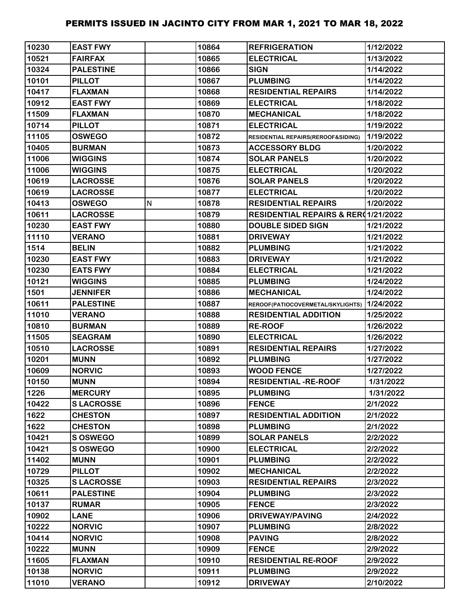| 10230 | <b>EAST FWY</b>  |   | 10864 | <b>REFRIGERATION</b>                           | 1/12/2022 |
|-------|------------------|---|-------|------------------------------------------------|-----------|
| 10521 | <b>FAIRFAX</b>   |   | 10865 | <b>ELECTRICAL</b>                              | 1/13/2022 |
| 10324 | <b>PALESTINE</b> |   | 10866 | <b>SIGN</b>                                    | 1/14/2022 |
| 10101 | <b>PILLOT</b>    |   | 10867 | <b>PLUMBING</b>                                | 1/14/2022 |
| 10417 | <b>FLAXMAN</b>   |   | 10868 | <b>RESIDENTIAL REPAIRS</b>                     | 1/14/2022 |
| 10912 | <b>EAST FWY</b>  |   | 10869 | <b>ELECTRICAL</b>                              | 1/18/2022 |
| 11509 | <b>FLAXMAN</b>   |   | 10870 | <b>MECHANICAL</b>                              | 1/18/2022 |
| 10714 | <b>PILLOT</b>    |   | 10871 | <b>ELECTRICAL</b>                              | 1/19/2022 |
| 11105 | <b>OSWEGO</b>    |   | 10872 | RESIDENTIAL REPAIRS(REROOF&SIDING)             | 1/19/2022 |
| 10405 | <b>BURMAN</b>    |   | 10873 | <b>ACCESSORY BLDG</b>                          | 1/20/2022 |
| 11006 | <b>WIGGINS</b>   |   | 10874 | <b>SOLAR PANELS</b>                            | 1/20/2022 |
| 11006 | <b>WIGGINS</b>   |   | 10875 | <b>ELECTRICAL</b>                              | 1/20/2022 |
| 10619 | <b>LACROSSE</b>  |   | 10876 | <b>SOLAR PANELS</b>                            | 1/20/2022 |
| 10619 | <b>LACROSSE</b>  |   | 10877 | <b>ELECTRICAL</b>                              | 1/20/2022 |
| 10413 | <b>OSWEGO</b>    | N | 10878 | <b>RESIDENTIAL REPAIRS</b>                     | 1/20/2022 |
| 10611 | <b>LACROSSE</b>  |   | 10879 | <b>RESIDENTIAL REPAIRS &amp; RER01/21/2022</b> |           |
| 10230 | <b>EAST FWY</b>  |   | 10880 | <b>DOUBLE SIDED SIGN</b>                       | 1/21/2022 |
| 11110 | <b>VERANO</b>    |   | 10881 | <b>DRIVEWAY</b>                                | 1/21/2022 |
| 1514  | <b>BELIN</b>     |   | 10882 | <b>PLUMBING</b>                                | 1/21/2022 |
| 10230 | <b>EAST FWY</b>  |   | 10883 | <b>DRIVEWAY</b>                                | 1/21/2022 |
| 10230 | <b>EATS FWY</b>  |   | 10884 | <b>ELECTRICAL</b>                              | 1/21/2022 |
| 10121 | <b>WIGGINS</b>   |   | 10885 | <b>PLUMBING</b>                                | 1/24/2022 |
| 1501  | <b>JENNIFER</b>  |   | 10886 | <b>MECHANICAL</b>                              | 1/24/2022 |
| 10611 | <b>PALESTINE</b> |   | 10887 | REROOF(PATIOCOVERMETAL/SKYLIGHTS) 1/24/2022    |           |
| 11010 | <b>VERANO</b>    |   | 10888 | <b>RESIDENTIAL ADDITION</b>                    | 1/25/2022 |
| 10810 | <b>BURMAN</b>    |   | 10889 | <b>RE-ROOF</b>                                 | 1/26/2022 |
| 11505 | <b>SEAGRAM</b>   |   | 10890 | <b>ELECTRICAL</b>                              | 1/26/2022 |
| 10510 | <b>LACROSSE</b>  |   | 10891 | <b>RESIDENTIAL REPAIRS</b>                     | 1/27/2022 |
| 10201 | <b>MUNN</b>      |   | 10892 | <b>PLUMBING</b>                                | 1/27/2022 |
| 10609 | <b>NORVIC</b>    |   | 10893 | <b>WOOD FENCE</b>                              | 1/27/2022 |
| 10150 | <b>MUNN</b>      |   | 10894 | <b>RESIDENTIAL -RE-ROOF</b>                    | 1/31/2022 |
| 1226  | <b>MERCURY</b>   |   | 10895 | <b>PLUMBING</b>                                | 1/31/2022 |
| 10422 | <b>SLACROSSE</b> |   | 10896 | <b>FENCE</b>                                   | 2/1/2022  |
| 1622  | <b>CHESTON</b>   |   | 10897 | <b>RESIDENTIAL ADDITION</b>                    | 2/1/2022  |
| 1622  | <b>CHESTON</b>   |   | 10898 | <b>PLUMBING</b>                                | 2/1/2022  |
| 10421 | <b>SOSWEGO</b>   |   | 10899 | <b>SOLAR PANELS</b>                            | 2/2/2022  |
| 10421 | S OSWEGO         |   | 10900 | <b>ELECTRICAL</b>                              | 2/2/2022  |
| 11402 | <b>MUNN</b>      |   | 10901 | <b>PLUMBING</b>                                | 2/2/2022  |
| 10729 | <b>PILLOT</b>    |   | 10902 | <b>MECHANICAL</b>                              | 2/2/2022  |
| 10325 | <b>SLACROSSE</b> |   | 10903 | <b>RESIDENTIAL REPAIRS</b>                     | 2/3/2022  |
| 10611 | <b>PALESTINE</b> |   | 10904 | <b>PLUMBING</b>                                | 2/3/2022  |
| 10137 | <b>RUMAR</b>     |   | 10905 | <b>FENCE</b>                                   | 2/3/2022  |
| 10902 | <b>LANE</b>      |   | 10906 | <b>DRIVEWAY/PAVING</b>                         | 2/4/2022  |
| 10222 | <b>NORVIC</b>    |   | 10907 | <b>PLUMBING</b>                                | 2/8/2022  |
| 10414 | <b>NORVIC</b>    |   | 10908 | <b>PAVING</b>                                  | 2/8/2022  |
| 10222 | <b>MUNN</b>      |   | 10909 | <b>FENCE</b>                                   | 2/9/2022  |
| 11605 | <b>FLAXMAN</b>   |   | 10910 | <b>RESIDENTIAL RE-ROOF</b>                     | 2/9/2022  |
| 10138 | <b>NORVIC</b>    |   | 10911 | <b>PLUMBING</b>                                | 2/9/2022  |
| 11010 | <b>VERANO</b>    |   | 10912 | <b>DRIVEWAY</b>                                | 2/10/2022 |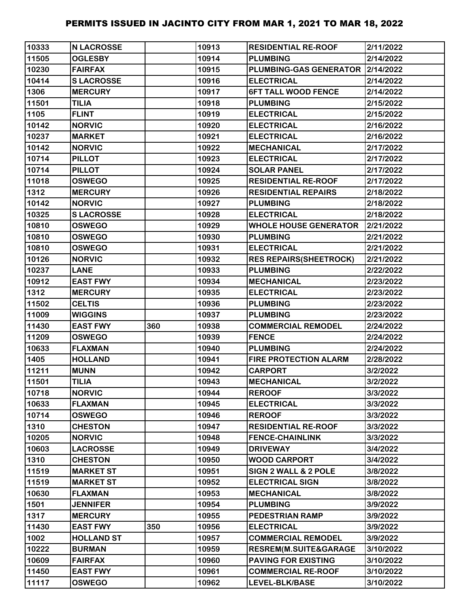| 10333 | <b>N LACROSSE</b> |     | 10913 | <b>RESIDENTIAL RE-ROOF</b>       | 2/11/2022 |
|-------|-------------------|-----|-------|----------------------------------|-----------|
| 11505 | <b>OGLESBY</b>    |     | 10914 | <b>PLUMBING</b>                  | 2/14/2022 |
| 10230 | <b>FAIRFAX</b>    |     | 10915 | PLUMBING-GAS GENERATOR 2/14/2022 |           |
| 10414 | <b>SLACROSSE</b>  |     | 10916 | <b>ELECTRICAL</b>                | 2/14/2022 |
| 1306  | <b>MERCURY</b>    |     | 10917 | <b>6FT TALL WOOD FENCE</b>       | 2/14/2022 |
| 11501 | <b>TILIA</b>      |     | 10918 | <b>PLUMBING</b>                  | 2/15/2022 |
| 1105  | <b>FLINT</b>      |     | 10919 | <b>ELECTRICAL</b>                | 2/15/2022 |
| 10142 | <b>NORVIC</b>     |     | 10920 | <b>ELECTRICAL</b>                | 2/16/2022 |
| 10237 | <b>MARKET</b>     |     | 10921 | <b>ELECTRICAL</b>                | 2/16/2022 |
| 10142 | <b>NORVIC</b>     |     | 10922 | <b>MECHANICAL</b>                | 2/17/2022 |
| 10714 | <b>PILLOT</b>     |     | 10923 | <b>ELECTRICAL</b>                | 2/17/2022 |
| 10714 | <b>PILLOT</b>     |     | 10924 | <b>SOLAR PANEL</b>               | 2/17/2022 |
| 11018 | <b>OSWEGO</b>     |     | 10925 | <b>RESIDENTIAL RE-ROOF</b>       | 2/17/2022 |
| 1312  | <b>MERCURY</b>    |     | 10926 | <b>RESIDENTIAL REPAIRS</b>       | 2/18/2022 |
| 10142 | <b>NORVIC</b>     |     | 10927 | <b>PLUMBING</b>                  | 2/18/2022 |
| 10325 | <b>SLACROSSE</b>  |     | 10928 | <b>ELECTRICAL</b>                | 2/18/2022 |
| 10810 | <b>OSWEGO</b>     |     | 10929 | <b>WHOLE HOUSE GENERATOR</b>     | 2/21/2022 |
| 10810 | <b>OSWEGO</b>     |     | 10930 | <b>PLUMBING</b>                  | 2/21/2022 |
| 10810 | <b>OSWEGO</b>     |     | 10931 | <b>ELECTRICAL</b>                | 2/21/2022 |
| 10126 | <b>NORVIC</b>     |     | 10932 | <b>RES REPAIRS (SHEETROCK)</b>   | 2/21/2022 |
| 10237 | <b>LANE</b>       |     | 10933 | <b>PLUMBING</b>                  | 2/22/2022 |
| 10912 | <b>EAST FWY</b>   |     | 10934 | <b>MECHANICAL</b>                | 2/23/2022 |
| 1312  | <b>MERCURY</b>    |     | 10935 | <b>ELECTRICAL</b>                | 2/23/2022 |
| 11502 | <b>CELTIS</b>     |     | 10936 | <b>PLUMBING</b>                  | 2/23/2022 |
| 11009 | <b>WIGGINS</b>    |     | 10937 | <b>PLUMBING</b>                  | 2/23/2022 |
| 11430 | <b>EAST FWY</b>   | 360 | 10938 | <b>COMMERCIAL REMODEL</b>        | 2/24/2022 |
| 11209 | <b>OSWEGO</b>     |     | 10939 | <b>FENCE</b>                     | 2/24/2022 |
| 10633 | <b>FLAXMAN</b>    |     | 10940 | <b>PLUMBING</b>                  | 2/24/2022 |
| 1405  | <b>HOLLAND</b>    |     | 10941 | <b>FIRE PROTECTION ALARM</b>     | 2/28/2022 |
| 11211 | <b>MUNN</b>       |     | 10942 | <b>CARPORT</b>                   | 3/2/2022  |
| 11501 | <b>TILIA</b>      |     | 10943 | <b>MECHANICAL</b>                | 3/2/2022  |
| 10718 | <b>NORVIC</b>     |     | 10944 | <b>REROOF</b>                    | 3/3/2022  |
| 10633 | <b>FLAXMAN</b>    |     | 10945 | <b>ELECTRICAL</b>                | 3/3/2022  |
| 10714 | <b>OSWEGO</b>     |     | 10946 | <b>REROOF</b>                    | 3/3/2022  |
| 1310  | <b>CHESTON</b>    |     | 10947 | <b>RESIDENTIAL RE-ROOF</b>       | 3/3/2022  |
| 10205 | <b>NORVIC</b>     |     | 10948 | <b>FENCE-CHAINLINK</b>           | 3/3/2022  |
| 10603 | <b>LACROSSE</b>   |     | 10949 | <b>DRIVEWAY</b>                  | 3/4/2022  |
| 1310  | <b>CHESTON</b>    |     | 10950 | <b>WOOD CARPORT</b>              | 3/4/2022  |
| 11519 | <b>MARKET ST</b>  |     | 10951 | SIGN 2 WALL & 2 POLE             | 3/8/2022  |
| 11519 | <b>MARKET ST</b>  |     | 10952 | <b>ELECTRICAL SIGN</b>           | 3/8/2022  |
| 10630 | <b>FLAXMAN</b>    |     | 10953 | <b>MECHANICAL</b>                | 3/8/2022  |
| 1501  | <b>JENNIFER</b>   |     | 10954 | <b>PLUMBING</b>                  | 3/9/2022  |
| 1317  | <b>MERCURY</b>    |     | 10955 | <b>PEDESTRIAN RAMP</b>           | 3/9/2022  |
| 11430 | <b>EAST FWY</b>   | 350 | 10956 | <b>ELECTRICAL</b>                | 3/9/2022  |
| 1002  | <b>HOLLAND ST</b> |     | 10957 | <b>COMMERCIAL REMODEL</b>        | 3/9/2022  |
| 10222 | <b>BURMAN</b>     |     | 10959 | RESREM(M.SUITE&GARAGE            | 3/10/2022 |
| 10609 | <b>FAIRFAX</b>    |     | 10960 | <b>PAVING FOR EXISTING</b>       | 3/10/2022 |
| 11450 | <b>EAST FWY</b>   |     | 10961 | <b>COMMERCIAL RE-ROOF</b>        | 3/10/2022 |
| 11117 | <b>OSWEGO</b>     |     | 10962 | LEVEL-BLK/BASE                   | 3/10/2022 |